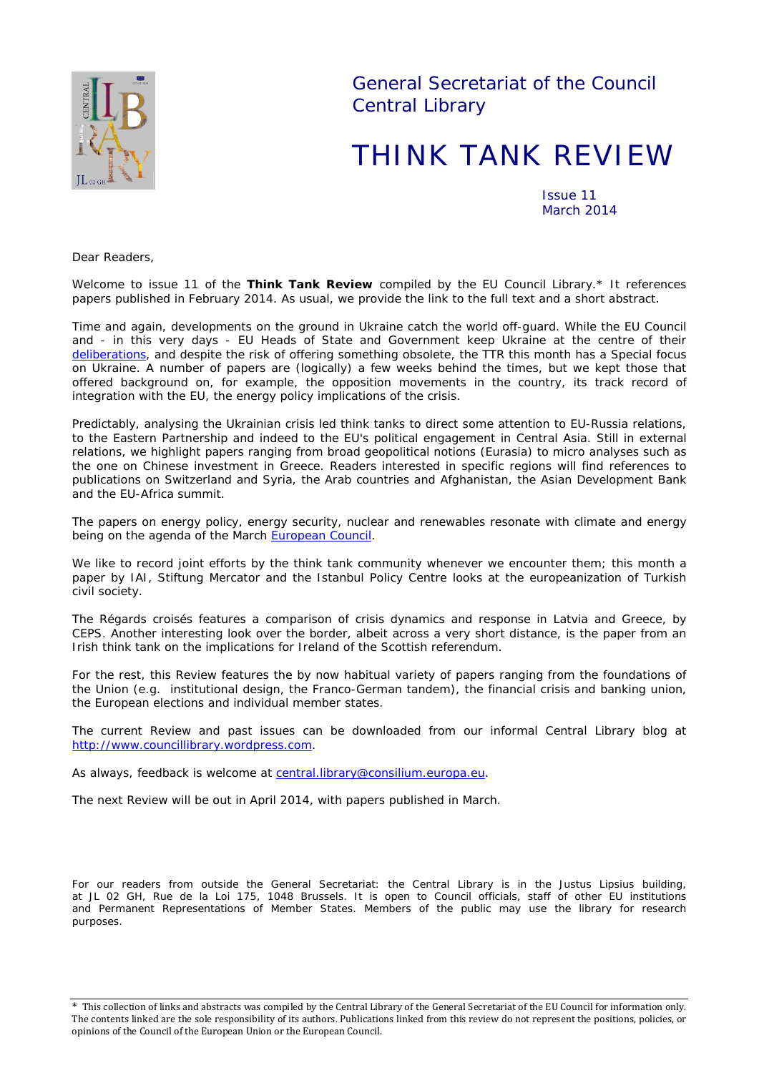

General Secretariat of the Council Central Library

# THINK TANK REVIEW

Issue 11 March 2014

*Dear Readers,*

*Welcome to issue 11 of the Think Tank Review compiled by the EU Council Library.\* It references papers published in February 2014. As usual, we provide the link to the full text and a short abstract.*

*Time and again, developments on the ground in Ukraine catch the world off-guard. While the EU Council and - in this very days - EU Heads of State and Government keep Ukraine at the centre of their [deliberations,](http://consilium.europa.eu/homepage/highlights/council-condemns-the-illegal-referendum-in-crimea?lang=en)* and despite the risk of offering something obsolete, the TTR this month has a Special focus *on Ukraine. A number of papers are (logically) a few weeks behind the times, but we kept those that offered background on, for example, the opposition movements in the country, its track record of integration with the EU, the energy policy implications of the crisis.* 

*Predictably, analysing the Ukrainian crisis led think tanks to direct some attention to EU-Russia relations,*  to the Eastern Partnership and indeed to the EU's political engagement in Central Asia. Still in external *relations, we highlight papers ranging from broad geopolitical notions (Eurasia) to micro analyses such as the one on Chinese investment in Greece. Readers interested in specific regions will find references to publications on Switzerland and Syria, the Arab countries and Afghanistan, the Asian Development Bank and the EU-Africa summit.*

*The papers on energy policy, energy security, nuclear and renewables resonate with climate and energy being on the agenda of the March [European Council.](http://www.consilium.europa.eu/uedocs/cms_Data/docs/pressdata/en/ec/141631.pdf)* 

*We like to record joint efforts by the think tank community whenever we encounter them; this month a paper by IAI, Stiftung Mercator and the Istanbul Policy Centre looks at the europeanization of Turkish civil society.*

*The* Régards croisés *features a comparison of crisis dynamics and response in Latvia and Greece, by CEPS. Another interesting look over the border, albeit across a very short distance, is the paper from an Irish think tank on the implications for Ireland of the Scottish referendum.* 

*For the rest, this Review features the by now habitual variety of papers ranging from the foundations of the Union (e.g. institutional design, the Franco-German tandem), the financial crisis and banking union, the European elections and individual member states.*

*The current Review and past issues can be downloaded from our informal Central Library blog at [http://www.councillibrary.wordpress.com.](http://www.councillibrary.wordpress.com/)* 

*As always, feedback is welcome at* [central.library@consilium.europa.eu.](mailto:central.library@consilium.europa.eu)

*The next Review will be out in April 2014, with papers published in March.*

*For our readers from outside the General Secretariat: the Central Library is in the Justus Lipsius building, at JL 02 GH, Rue de la Loi 175, 1048 Brussels. It is open to Council officials, staff of other EU institutions and Permanent Representations of Member States. Members of the public may use the library for research purposes.*

<sup>\*</sup> This collection of links and abstracts was compiled by the Central Library of the General Secretariat of the EU Council for information only. The contents linked are the sole responsibility of its authors. Publications linked from this review do not represent the positions, policies, or opinions of the Council of the European Union or the European Council.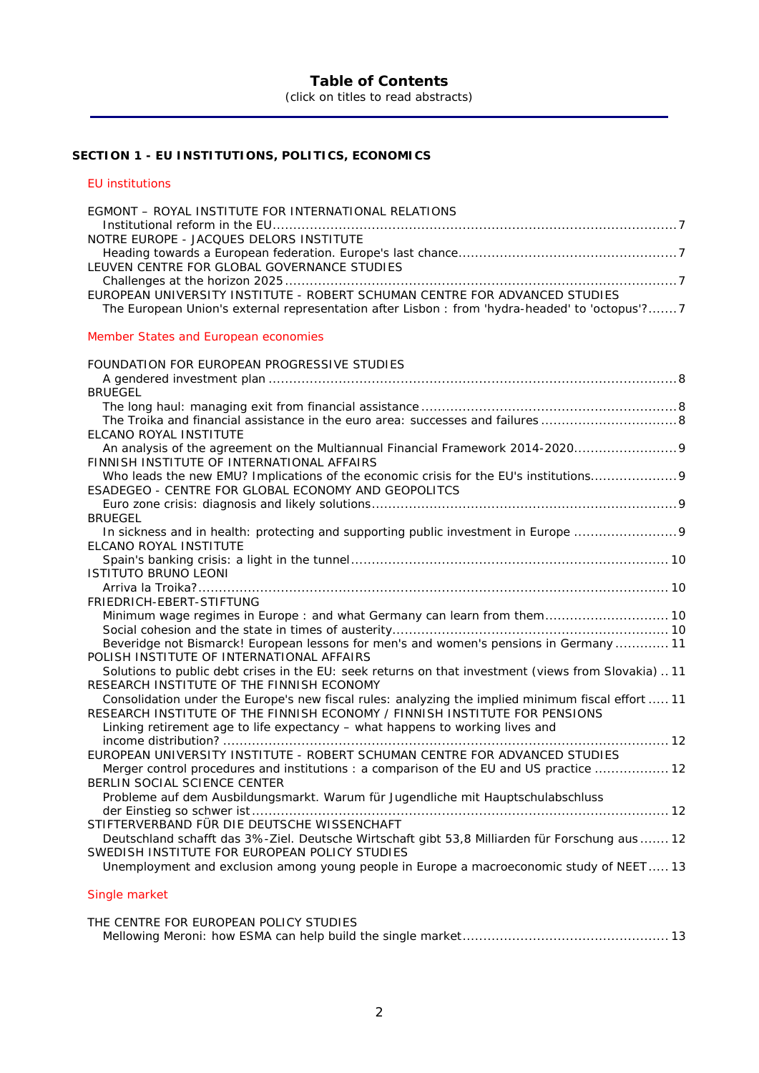## **Table of Contents**

(click on titles to read abstracts)

# **SECTION 1 - [EU INSTITUTIONS, POLITICS, ECONOMICS](#page-6-0)**

## [EU institutions](#page-6-1)

| EGMONT - ROYAL INSTITUTE FOR INTERNATIONAL RELATIONS                                                                                            |
|-------------------------------------------------------------------------------------------------------------------------------------------------|
|                                                                                                                                                 |
| NOTRE EUROPE - JACQUES DELORS INSTITUTE                                                                                                         |
|                                                                                                                                                 |
| LEUVEN CENTRE FOR GLOBAL GOVERNANCE STUDIES                                                                                                     |
|                                                                                                                                                 |
| EUROPEAN UNIVERSITY INSTITUTE - ROBERT SCHUMAN CENTRE FOR ADVANCED STUDIES                                                                      |
| The European Union's external representation after Lisbon : from 'hydra-headed' to 'octopus'? 7                                                 |
|                                                                                                                                                 |
| Member States and European economies                                                                                                            |
|                                                                                                                                                 |
| FOUNDATION FOR EUROPEAN PROGRESSIVE STUDIES                                                                                                     |
|                                                                                                                                                 |
| <b>BRUEGEL</b>                                                                                                                                  |
|                                                                                                                                                 |
| The Troika and financial assistance in the euro area: successes and failures 8                                                                  |
| ELCANO ROYAL INSTITUTE                                                                                                                          |
| An analysis of the agreement on the Multiannual Financial Framework 2014-2020 9                                                                 |
| FINNISH INSTITUTE OF INTERNATIONAL AFFAIRS                                                                                                      |
| Who leads the new EMU? Implications of the economic crisis for the EU's institutions9                                                           |
| ESADEGEO - CENTRE FOR GLOBAL ECONOMY AND GEOPOLITCS                                                                                             |
|                                                                                                                                                 |
| <b>BRUEGEL</b>                                                                                                                                  |
| In sickness and in health: protecting and supporting public investment in Europe 9                                                              |
| ELCANO ROYAL INSTITUTE                                                                                                                          |
|                                                                                                                                                 |
| <b>ISTITUTO BRUNO LEONI</b>                                                                                                                     |
|                                                                                                                                                 |
| FRIEDRICH-EBERT-STIFTUNG                                                                                                                        |
| Minimum wage regimes in Europe: and what Germany can learn from them 10                                                                         |
|                                                                                                                                                 |
| Beveridge not Bismarck! European lessons for men's and women's pensions in Germany  11                                                          |
| POLISH INSTITUTE OF INTERNATIONAL AFFAIRS                                                                                                       |
| Solutions to public debt crises in the EU: seek returns on that investment (views from Slovakia)11                                              |
| RESEARCH INSTITUTE OF THE FINNISH ECONOMY                                                                                                       |
| Consolidation under the Europe's new fiscal rules: analyzing the implied minimum fiscal effort  11                                              |
| RESEARCH INSTITUTE OF THE FINNISH ECONOMY / FINNISH INSTITUTE FOR PENSIONS                                                                      |
| Linking retirement age to life expectancy - what happens to working lives and                                                                   |
|                                                                                                                                                 |
| EUROPEAN UNIVERSITY INSTITUTE - ROBERT SCHUMAN CENTRE FOR ADVANCED STUDIES                                                                      |
| Merger control procedures and institutions: a comparison of the EU and US practice  12                                                          |
| BERLIN SOCIAL SCIENCE CENTER                                                                                                                    |
| Probleme auf dem Ausbildungsmarkt. Warum für Jugendliche mit Hauptschulabschluss                                                                |
|                                                                                                                                                 |
| STIFTERVERBAND FÜR DIE DEUTSCHE WISSENCHAFT                                                                                                     |
|                                                                                                                                                 |
| Deutschland schafft das 3%-Ziel. Deutsche Wirtschaft gibt 53,8 Milliarden für Forschung aus 12<br>SWEDISH INSTITUTE FOR EUROPEAN POLICY STUDIES |
|                                                                                                                                                 |
| Unemployment and exclusion among young people in Europe a macroeconomic study of NEET 13                                                        |
|                                                                                                                                                 |

# [Single market](#page-12-2)

| THE CENTRE FOR EUROPEAN POLICY STUDIES |  |
|----------------------------------------|--|
|                                        |  |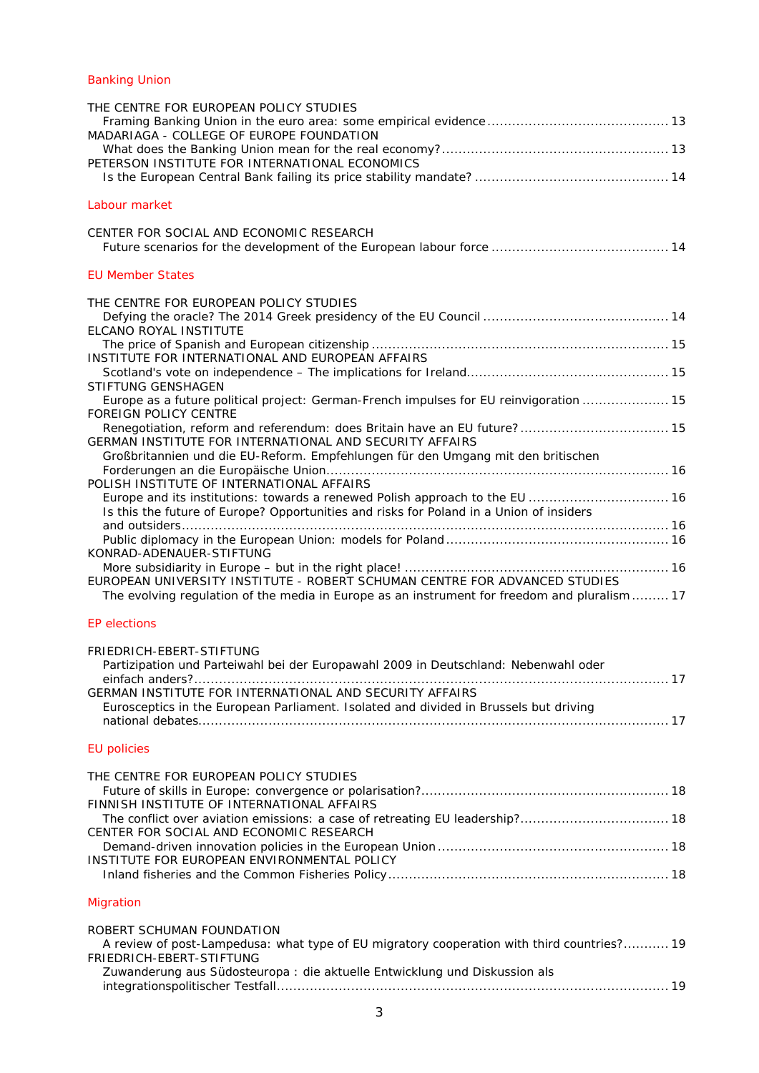## [Banking Union](#page-12-5)

| THE CENTRE FOR EUROPEAN POLICY STUDIES<br>MADARIAGA - COLLEGE OF EUROPE FOUNDATION<br>PETERSON INSTITUTE FOR INTERNATIONAL ECONOMICS                                       |  |
|----------------------------------------------------------------------------------------------------------------------------------------------------------------------------|--|
| Labour market                                                                                                                                                              |  |
| CENTER FOR SOCIAL AND ECONOMIC RESEARCH                                                                                                                                    |  |
| <b>EU Member States</b>                                                                                                                                                    |  |
| THE CENTRE FOR EUROPEAN POLICY STUDIES<br>ELCANO ROYAL INSTITUTE                                                                                                           |  |
| INSTITUTE FOR INTERNATIONAL AND EUROPEAN AFFAIRS                                                                                                                           |  |
| STIFTUNG GENSHAGEN                                                                                                                                                         |  |
| Europe as a future political project: German-French impulses for EU reinvigoration  15<br><b>FOREIGN POLICY CENTRE</b>                                                     |  |
| GERMAN INSTITUTE FOR INTERNATIONAL AND SECURITY AFFAIRS                                                                                                                    |  |
| Großbritannien und die EU-Reform. Empfehlungen für den Umgang mit den britischen                                                                                           |  |
| POLISH INSTITUTE OF INTERNATIONAL AFFAIRS<br>Europe and its institutions: towards a renewed Polish approach to the EU  16                                                  |  |
| Is this the future of Europe? Opportunities and risks for Poland in a Union of insiders                                                                                    |  |
|                                                                                                                                                                            |  |
| KONRAD-ADENAUER-STIFTUNG                                                                                                                                                   |  |
| EUROPEAN UNIVERSITY INSTITUTE - ROBERT SCHUMAN CENTRE FOR ADVANCED STUDIES<br>The evolving regulation of the media in Europe as an instrument for freedom and pluralism 17 |  |
| <b>EP</b> elections                                                                                                                                                        |  |
| FRIEDRICH-EBERT-STIFTUNG                                                                                                                                                   |  |
| Partizipation und Parteiwahl bei der Europawahl 2009 in Deutschland: Nebenwahl oder                                                                                        |  |
| GERMAN INSTITUTE FOR INTERNATIONAL AND SECURITY AFFAIRS                                                                                                                    |  |
| Eurosceptics in the European Parliament. Isolated and divided in Brussels but driving                                                                                      |  |
| <b>EU</b> policies                                                                                                                                                         |  |
|                                                                                                                                                                            |  |
| THE CENTRE FOR EUROPEAN POLICY STUDIES                                                                                                                                     |  |
| FINNISH INSTITUTE OF INTERNATIONAL AFFAIRS<br>The conflict over aviation emissions: a case of retreating EU leadership? 18                                                 |  |
| CENTER FOR SOCIAL AND ECONOMIC RESEARCH                                                                                                                                    |  |
| INSTITUTE FOR EUROPEAN ENVIRONMENTAL POLICY                                                                                                                                |  |
| <b>Migration</b>                                                                                                                                                           |  |
| ROBERT SCHUMAN FOUNDATION                                                                                                                                                  |  |
| A review of post-Lampedusa: what type of EU migratory cooperation with third countries? 19<br>FRIEDRICH-EBERT-STIFTUNG                                                     |  |
| Zuwanderung aus Südosteuropa : die aktuelle Entwicklung und Diskussion als                                                                                                 |  |
|                                                                                                                                                                            |  |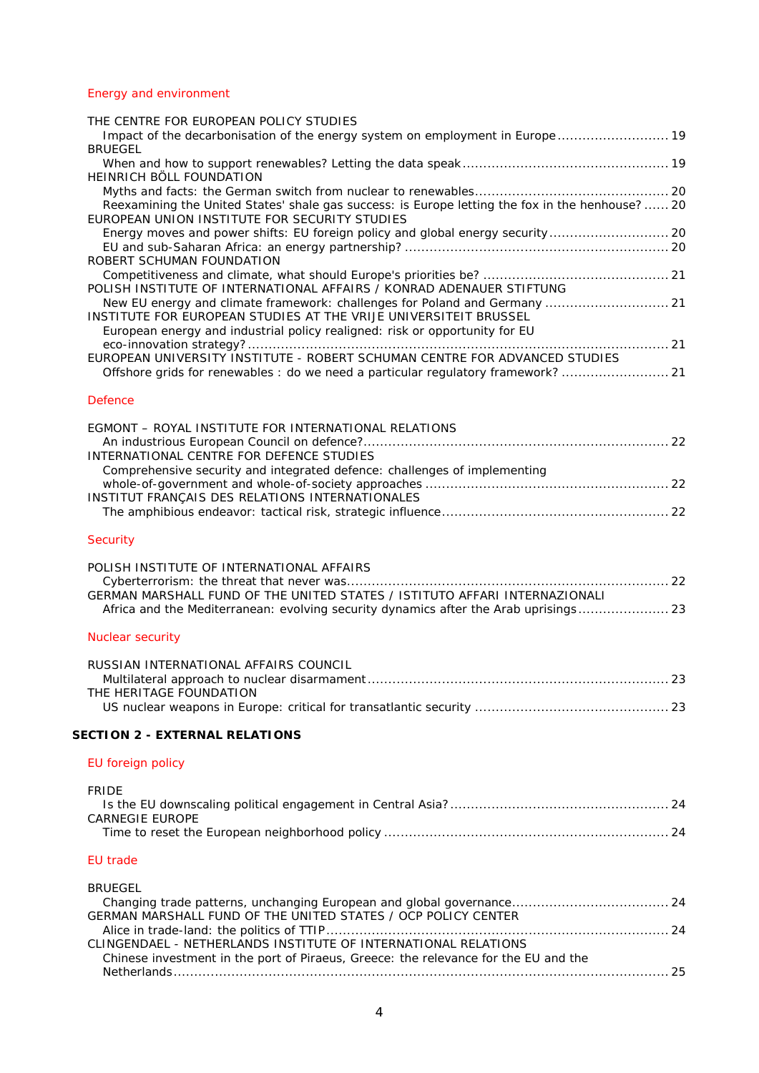# [Energy and environment](#page-18-5)

| THE CENTRE FOR EUROPEAN POLICY STUDIES                                                                                                                                                                                        |  |
|-------------------------------------------------------------------------------------------------------------------------------------------------------------------------------------------------------------------------------|--|
| Impact of the decarbonisation of the energy system on employment in Europe  19<br><b>BRUEGEL</b>                                                                                                                              |  |
| HEINRICH BÖLL FOUNDATION                                                                                                                                                                                                      |  |
| Reexamining the United States' shale gas success: is Europe letting the fox in the henhouse?  20<br>EUROPEAN UNION INSTITUTE FOR SECURITY STUDIES                                                                             |  |
| Energy moves and power shifts: EU foreign policy and global energy security 20<br>ROBERT SCHUMAN FOUNDATION                                                                                                                   |  |
| POLISH INSTITUTE OF INTERNATIONAL AFFAIRS / KONRAD ADENAUER STIFTUNG                                                                                                                                                          |  |
| New EU energy and climate framework: challenges for Poland and Germany  21<br>INSTITUTE FOR EUROPEAN STUDIES AT THE VRIJE UNIVERSITEIT BRUSSEL<br>European energy and industrial policy realigned: risk or opportunity for EU |  |
| EUROPEAN UNIVERSITY INSTITUTE - ROBERT SCHUMAN CENTRE FOR ADVANCED STUDIES<br>Offshore grids for renewables: do we need a particular regulatory framework? 21                                                                 |  |
| <b>Defence</b>                                                                                                                                                                                                                |  |
| EGMONT - ROYAL INSTITUTE FOR INTERNATIONAL RELATIONS                                                                                                                                                                          |  |
|                                                                                                                                                                                                                               |  |
| INTERNATIONAL CENTRE FOR DEFENCE STUDIES<br>Comprehensive security and integrated defence: challenges of implementing                                                                                                         |  |
|                                                                                                                                                                                                                               |  |
| INSTITUT FRANÇAIS DES RELATIONS INTERNATIONALES                                                                                                                                                                               |  |
| Security                                                                                                                                                                                                                      |  |
| POLISH INSTITUTE OF INTERNATIONAL AFFAIRS<br>GERMAN MARSHALL FUND OF THE UNITED STATES / ISTITUTO AFFARI INTERNAZIONALI<br>Africa and the Mediterranean: evolving security dynamics after the Arab uprisings 23               |  |
| <b>Nuclear security</b>                                                                                                                                                                                                       |  |
| RUSSIAN INTERNATIONAL AFFAIRS COUNCIL                                                                                                                                                                                         |  |
|                                                                                                                                                                                                                               |  |
| THE HERITAGE FOUNDATION                                                                                                                                                                                                       |  |
| <b>SECTION 2 - EXTERNAL RELATIONS</b>                                                                                                                                                                                         |  |
| EU foreign policy                                                                                                                                                                                                             |  |
| <b>FRIDE</b><br><b>CARNEGIE EUROPE</b>                                                                                                                                                                                        |  |
| <b>EU</b> trade                                                                                                                                                                                                               |  |
|                                                                                                                                                                                                                               |  |
| <b>BRUEGEL</b><br>Changing trade patterns, unchanging European and global governance 24<br>GERMAN MARSHALL FUND OF THE UNITED STATES / OCP POLICY CENTER                                                                      |  |
| CLINGENDAEL - NETHERLANDS INSTITUTE OF INTERNATIONAL RELATIONS                                                                                                                                                                |  |
| Chinese investment in the port of Piraeus, Greece: the relevance for the EU and the                                                                                                                                           |  |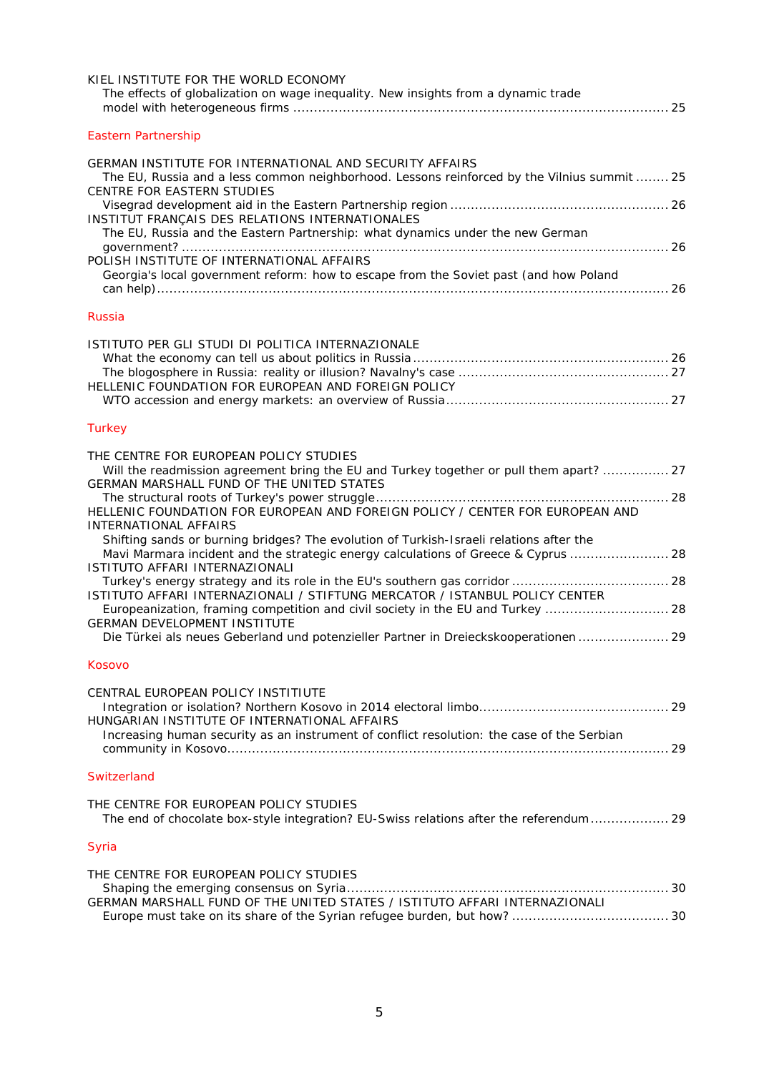| KIEL INSTITUTE FOR THE WORLD ECONOMY<br>The effects of globalization on wage inequality. New insights from a dynamic trade                                                                                                                                                                                                                                                                                                                                                                                                                       |
|--------------------------------------------------------------------------------------------------------------------------------------------------------------------------------------------------------------------------------------------------------------------------------------------------------------------------------------------------------------------------------------------------------------------------------------------------------------------------------------------------------------------------------------------------|
| <b>Eastern Partnership</b>                                                                                                                                                                                                                                                                                                                                                                                                                                                                                                                       |
| GERMAN INSTITUTE FOR INTERNATIONAL AND SECURITY AFFAIRS<br>The EU, Russia and a less common neighborhood. Lessons reinforced by the Vilnius summit  25<br>CENTRE FOR EASTERN STUDIES<br>INSTITUT FRANÇAIS DES RELATIONS INTERNATIONALES<br>The EU, Russia and the Eastern Partnership: what dynamics under the new German                                                                                                                                                                                                                        |
| POLISH INSTITUTE OF INTERNATIONAL AFFAIRS<br>Georgia's local government reform: how to escape from the Soviet past (and how Poland                                                                                                                                                                                                                                                                                                                                                                                                               |
| Russia                                                                                                                                                                                                                                                                                                                                                                                                                                                                                                                                           |
| ISTITUTO PER GLI STUDI DI POLITICA INTERNAZIONALE<br>HELLENIC FOUNDATION FOR EUROPEAN AND FOREIGN POLICY                                                                                                                                                                                                                                                                                                                                                                                                                                         |
| Turkey                                                                                                                                                                                                                                                                                                                                                                                                                                                                                                                                           |
| THE CENTRE FOR EUROPEAN POLICY STUDIES<br>Will the readmission agreement bring the EU and Turkey together or pull them apart?  27<br>GERMAN MARSHALL FUND OF THE UNITED STATES<br>HELLENIC FOUNDATION FOR EUROPEAN AND FOREIGN POLICY / CENTER FOR EUROPEAN AND                                                                                                                                                                                                                                                                                  |
| <b>INTERNATIONAL AFFAIRS</b><br>Shifting sands or burning bridges? The evolution of Turkish-Israeli relations after the<br>Mavi Marmara incident and the strategic energy calculations of Greece & Cyprus  28<br>ISTITUTO AFFARI INTERNAZIONALI<br>ISTITUTO AFFARI INTERNAZIONALI / STIFTUNG MERCATOR / ISTANBUL POLICY CENTER<br>Europeanization, framing competition and civil society in the EU and Turkey  28<br><b>GERMAN DEVELOPMENT INSTITUTE</b><br>Die Türkei als neues Geberland und potenzieller Partner in Dreieckskooperationen  29 |
| Kosovo                                                                                                                                                                                                                                                                                                                                                                                                                                                                                                                                           |
| CENTRAL EUROPEAN POLICY INSTITIUTE<br>HUNGARIAN INSTITUTE OF INTERNATIONAL AFFAIRS<br>Increasing human security as an instrument of conflict resolution: the case of the Serbian                                                                                                                                                                                                                                                                                                                                                                 |
| Switzerland                                                                                                                                                                                                                                                                                                                                                                                                                                                                                                                                      |
| THE CENTRE FOR EUROPEAN POLICY STUDIES<br>The end of chocolate box-style integration? EU-Swiss relations after the referendum 29                                                                                                                                                                                                                                                                                                                                                                                                                 |
| Syria                                                                                                                                                                                                                                                                                                                                                                                                                                                                                                                                            |
| THE CENTRE FOR EUROPEAN POLICY STUDIES<br>GERMAN MARSHALL FUND OF THE UNITED STATES / ISTITUTO AFFARI INTERNAZIONALI                                                                                                                                                                                                                                                                                                                                                                                                                             |
|                                                                                                                                                                                                                                                                                                                                                                                                                                                                                                                                                  |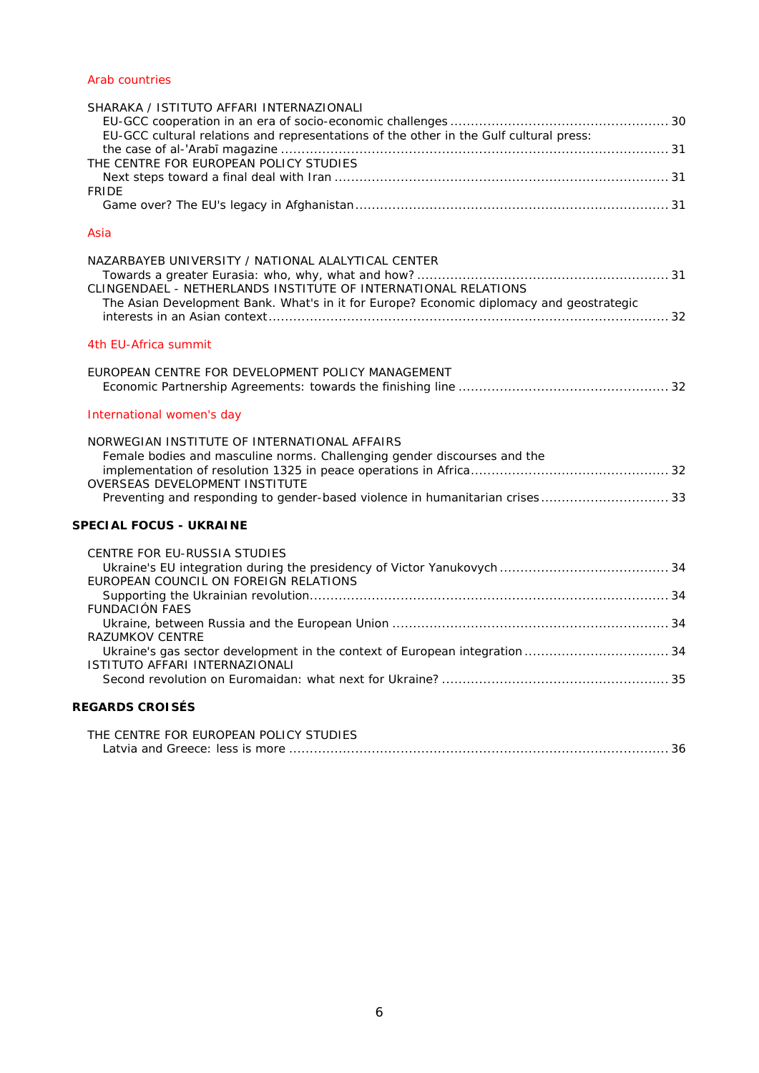## [Arab countries](#page-29-5)

| SHARAKA / ISTITUTO AFFARI INTERNAZIONALI<br>EU-GCC cultural relations and representations of the other in the Gulf cultural press:<br>THE CENTRE FOR EUROPEAN POLICY STUDIES<br><b>FRIDE</b>                                               |  |
|--------------------------------------------------------------------------------------------------------------------------------------------------------------------------------------------------------------------------------------------|--|
|                                                                                                                                                                                                                                            |  |
| Asia                                                                                                                                                                                                                                       |  |
| NAZARBAYEB UNIVERSITY / NATIONAL ALALYTICAL CENTER<br>CLINGENDAEL - NETHERLANDS INSTITUTE OF INTERNATIONAL RELATIONS<br>The Asian Development Bank. What's in it for Europe? Economic diplomacy and geostrategic                           |  |
| 4th EU-Africa summit                                                                                                                                                                                                                       |  |
| EUROPEAN CENTRE FOR DEVELOPMENT POLICY MANAGEMENT                                                                                                                                                                                          |  |
| International women's day                                                                                                                                                                                                                  |  |
| NORWEGIAN INSTITUTE OF INTERNATIONAL AFFAIRS<br>Female bodies and masculine norms. Challenging gender discourses and the<br>OVERSEAS DEVELOPMENT INSTITUTE<br>Preventing and responding to gender-based violence in humanitarian crises 33 |  |
| <b>SPECIAL FOCUS - UKRAINE</b>                                                                                                                                                                                                             |  |
| CENTRE FOR EU-RUSSIA STUDIES<br>EUROPEAN COUNCIL ON FOREIGN RELATIONS<br><b>FUNDACIÓN FAES</b><br><b>RAZUMKOV CENTRE</b><br>ISTITUTO AFFARI INTERNAZIONALI                                                                                 |  |
| <b>REGARDS CROISÉS</b>                                                                                                                                                                                                                     |  |
| THE CENTRE FOR EUROPEAN POLICY STUDIES                                                                                                                                                                                                     |  |

| THE VENTRE TOR EUROFEAN FOLIOT 3TODIEJ. |  |  |  |
|-----------------------------------------|--|--|--|
|                                         |  |  |  |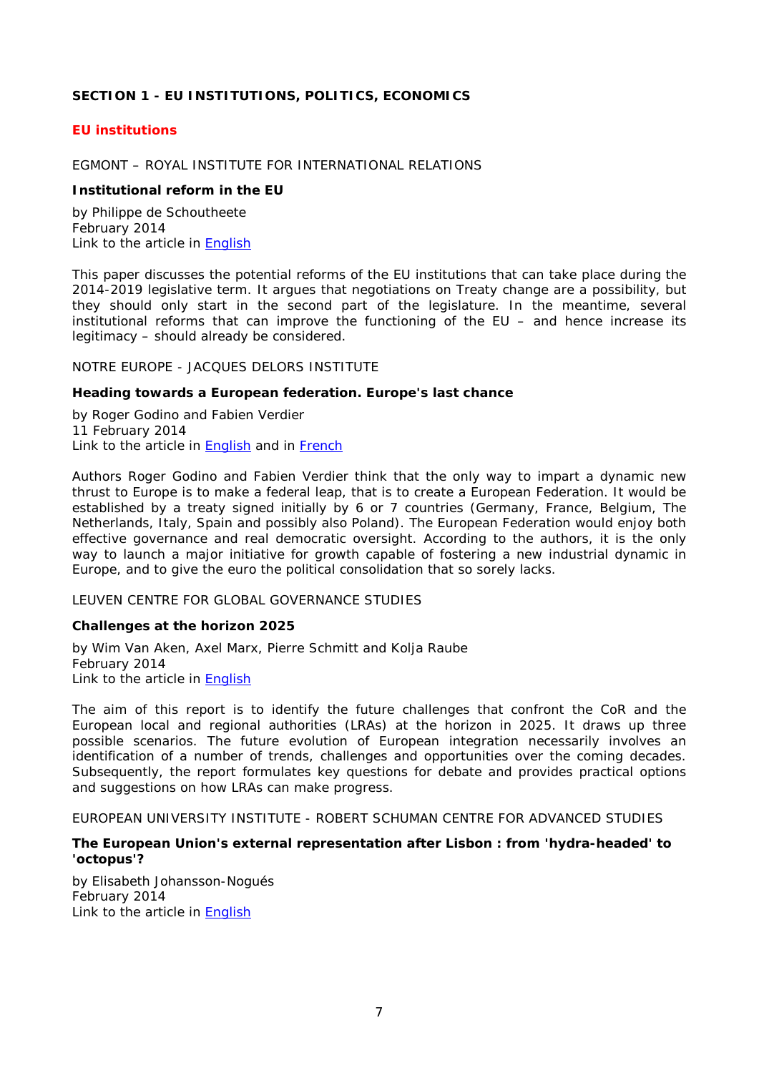## <span id="page-6-0"></span>**SECTION 1 - EU INSTITUTIONS, POLITICS, ECONOMICS**

## <span id="page-6-1"></span>*EU institutions*

## <span id="page-6-2"></span>EGMONT – ROYAL INSTITUTE FOR INTERNATIONAL RELATIONS

## <span id="page-6-3"></span>**Institutional reform in the EU**

by Philippe de Schoutheete February 2014 Link to the article in [English](http://www.egmontinstitute.be/wp-content/uploads/2014/03/EPB19.pdf)

This paper discusses the potential reforms of the EU institutions that can take place during the 2014-2019 legislative term. It argues that negotiations on Treaty change are a possibility, but they should only start in the second part of the legislature. In the meantime, several institutional reforms that can improve the functioning of the EU – and hence increase its legitimacy – should already be considered.

<span id="page-6-4"></span>NOTRE EUROPE - JACQUES DELORS INSTITUTE

#### <span id="page-6-5"></span>**Heading towards a European federation. Europe's last chance**

by Roger Godino and Fabien Verdier 11 February 2014 Link to the article in [English](http://www.notre-europe.eu/media/towardseuropeanfederation-godinoverdier-ne-jdi-feb14.pdf?pdf=ok) and in [French](http://www.notre-europe.eu/media/versfederationeuropeennegodinoverdierne-ijd-fev14.pdf)

Authors Roger Godino and Fabien Verdier think that the only way to impart a dynamic new thrust to Europe is to make a federal leap, that is to create a European Federation. It would be established by a treaty signed initially by 6 or 7 countries (Germany, France, Belgium, The Netherlands, Italy, Spain and possibly also Poland). The European Federation would enjoy both effective governance and real democratic oversight. According to the authors, it is the only way to launch a major initiative for growth capable of fostering a new industrial dynamic in Europe, and to give the euro the political consolidation that so sorely lacks.

#### <span id="page-6-6"></span>LEUVEN CENTRE FOR GLOBAL GOVERNANCE STUDIES

## <span id="page-6-7"></span>**Challenges at the horizon 2025**

by Wim Van Aken, Axel Marx, Pierre Schmitt and Kolja Raube February 2014 Link to the article in [English](http://bookshop.europa.eu/en/challenges-at-the-horizon-2025-pbQG0114203/downloads/QG-01-14-203-EN-N/QG0114203ENN_002.pdf;pgid=y8dIS7GUWMdSR0EAlMEUUsWb0000m-OVDeMl;sid=gxtr-SROynFr7ndW8m_1XkZrznh1i2ktnWk=?FileName=QG0114203ENN_002.pdf&SKU=QG0114203ENN_PDF&CatalogueNumber=QG-01-14-203-EN-N)

The aim of this report is to identify the future challenges that confront the CoR and the European local and regional authorities (LRAs) at the horizon in 2025. It draws up three possible scenarios. The future evolution of European integration necessarily involves an identification of a number of trends, challenges and opportunities over the coming decades. Subsequently, the report formulates key questions for debate and provides practical options and suggestions on how LRAs can make progress.

<span id="page-6-8"></span>EUROPEAN UNIVERSITY INSTITUTE - ROBERT SCHUMAN CENTRE FOR ADVANCED STUDIES

## <span id="page-6-9"></span>**The European Union's external representation after Lisbon : from 'hydra-headed' to 'octopus'?**

by Elisabeth Johansson-Nogués February 2014 Link to the article in [English](http://cadmus.eui.eu/bitstream/handle/1814/29921/RSCAS_2014_15.pdf?sequence=1)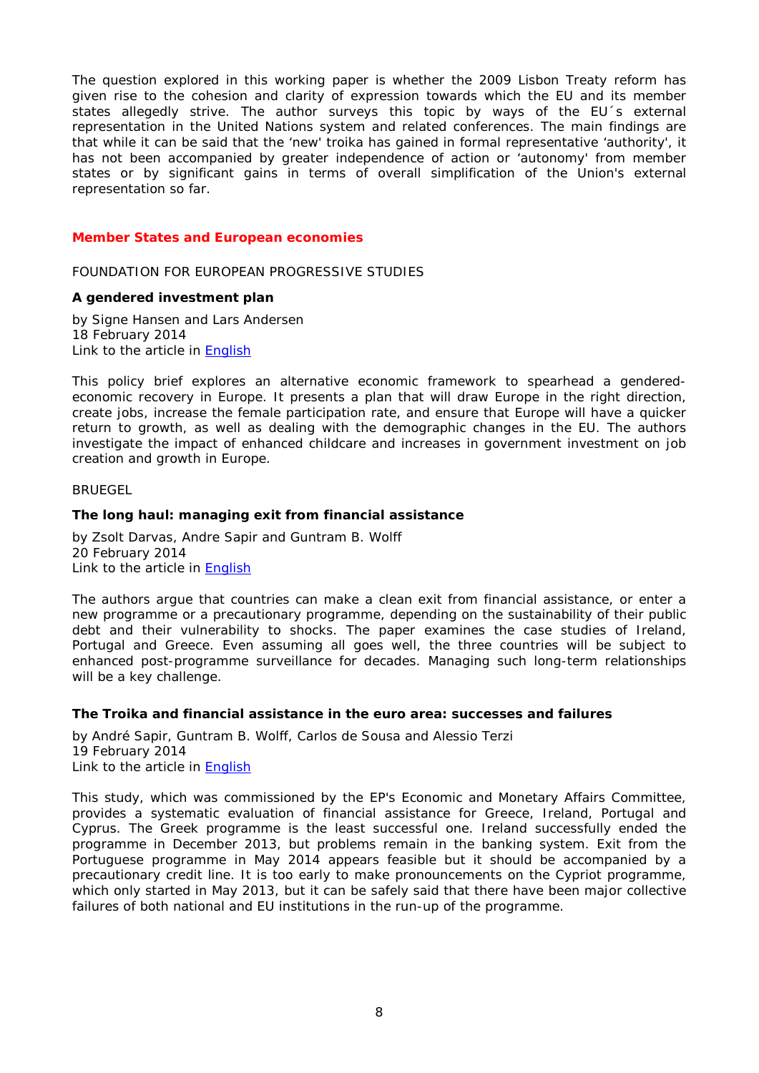The question explored in this working paper is whether the 2009 Lisbon Treaty reform has given rise to the cohesion and clarity of expression towards which the EU and its member states allegedly strive. The author surveys this topic by ways of the EU´s external representation in the United Nations system and related conferences. The main findings are that while it can be said that the 'new' troika has gained in formal representative 'authority', it has not been accompanied by greater independence of action or 'autonomy' from member states or by significant gains in terms of overall simplification of the Union's external representation so far.

## <span id="page-7-0"></span>*Member States and European economies*

<span id="page-7-1"></span>FOUNDATION FOR EUROPEAN PROGRESSIVE STUDIES

#### <span id="page-7-2"></span>**A gendered investment plan**

by Signe Hansen and Lars Andersen 18 February 2014 Link to the article in [English](http://www.feps-europe.eu/assets/73f79ad5-23f2-4a69-aae5-41b5745e9d02/2014-18-2-pb-no-2-a-gendered-investment-plan-eclm-fepspdf.pdf)

This policy brief explores an alternative economic framework to spearhead a genderedeconomic recovery in Europe. It presents a plan that will draw Europe in the right direction, create jobs, increase the female participation rate, and ensure that Europe will have a quicker return to growth, as well as dealing with the demographic changes in the EU. The authors investigate the impact of enhanced childcare and increases in government investment on job creation and growth in Europe.

#### <span id="page-7-3"></span>**BRUEGEL**

#### <span id="page-7-4"></span>**The long haul: managing exit from financial assistance**

by Zsolt Darvas, Andre Sapir and Guntram B. Wolff 20 February 2014 Link to the article in [English](http://www.bruegel.org/download/parent/816-the-long-haul-managing-exit-from-financial-assistance/file/1712-the-long-haul-managing-exit-from-financial-assistance/)

The authors argue that countries can make a clean exit from financial assistance, or enter a new programme or a precautionary programme, depending on the sustainability of their public debt and their vulnerability to shocks. The paper examines the case studies of Ireland, Portugal and Greece. Even assuming all goes well, the three countries will be subject to enhanced post-programme surveillance for decades. Managing such long-term relationships will be a key challenge.

## <span id="page-7-5"></span>**The Troika and financial assistance in the euro area: successes and failures**

by André Sapir, Guntram B. Wolff, Carlos de Sousa and Alessio Terzi 19 February 2014 Link to the article in [English](http://www.bruegel.org/download/parent/815-the-troika-and-financial-assistance-in-the-euro-area-successes-and-failures/file/1711-the-troika-and-financial-assistance-in-the-euro-area-successes-and-failures/)

This study, which was commissioned by the EP's Economic and Monetary Affairs Committee, provides a systematic evaluation of financial assistance for Greece, Ireland, Portugal and Cyprus. The Greek programme is the least successful one. Ireland successfully ended the programme in December 2013, but problems remain in the banking system. Exit from the Portuguese programme in May 2014 appears feasible but it should be accompanied by a precautionary credit line. It is too early to make pronouncements on the Cypriot programme, which only started in May 2013, but it can be safely said that there have been major collective failures of both national and EU institutions in the run-up of the programme.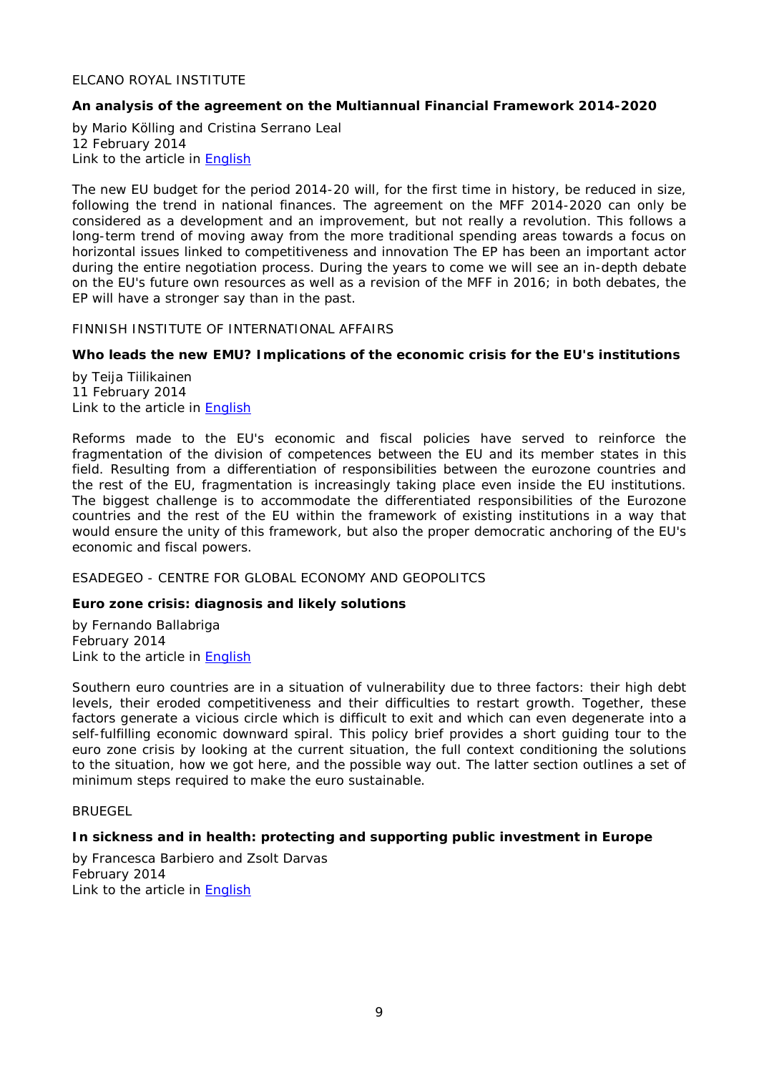## <span id="page-8-0"></span>ELCANO ROYAL INSTITUTE

## <span id="page-8-1"></span>**An analysis of the agreement on the Multiannual Financial Framework 2014-2020**

by Mario Kölling and Cristina Serrano Leal 12 February 2014 Link to the article in **English** 

The new EU budget for the period 2014-20 will, for the first time in history, be reduced in size, following the trend in national finances. The agreement on the MFF 2014-2020 can only be considered as a development and an improvement, but not really a revolution. This follows a long-term trend of moving away from the more traditional spending areas towards a focus on horizontal issues linked to competitiveness and innovation The EP has been an important actor during the entire negotiation process. During the years to come we will see an in-depth debate on the EU's future own resources as well as a revision of the MFF in 2016; in both debates, the EP will have a stronger say than in the past.

## <span id="page-8-2"></span>FINNISH INSTITUTE OF INTERNATIONAL AFFAIRS

## <span id="page-8-3"></span>**Who leads the new EMU? Implications of the economic crisis for the EU's institutions**

by Teija Tiilikainen 11 February 2014 Link to the article in [English](http://www.fiia.fi/assets/publications/bp149.pdf)

Reforms made to the EU's economic and fiscal policies have served to reinforce the fragmentation of the division of competences between the EU and its member states in this field. Resulting from a differentiation of responsibilities between the eurozone countries and the rest of the EU, fragmentation is increasingly taking place even inside the EU institutions. The biggest challenge is to accommodate the differentiated responsibilities of the Eurozone countries and the rest of the EU within the framework of existing institutions in a way that would ensure the unity of this framework, but also the proper democratic anchoring of the EU's economic and fiscal powers.

## <span id="page-8-4"></span>ESADEGEO - CENTRE FOR GLOBAL ECONOMY AND GEOPOLITCS

## <span id="page-8-5"></span>**Euro zone crisis: diagnosis and likely solutions**

by Fernando Ballabriga February 2014 Link to the article in [English](http://www.esadegeo.com/download/PR_PositionPapers/45/ficPDF_ENG/201402Eurozone%20Diagnosis_FernandoBallabriga_EN.pdf)

Southern euro countries are in a situation of vulnerability due to three factors: their high debt levels, their eroded competitiveness and their difficulties to restart growth. Together, these factors generate a vicious circle which is difficult to exit and which can even degenerate into a self-fulfilling economic downward spiral. This policy brief provides a short guiding tour to the euro zone crisis by looking at the current situation, the full context conditioning the solutions to the situation, how we got here, and the possible way out. The latter section outlines a set of minimum steps required to make the euro sustainable.

#### <span id="page-8-6"></span>BRUEGEL

## <span id="page-8-7"></span>**In sickness and in health: protecting and supporting public investment in Europe**

by Francesca Barbiero and Zsolt Darvas February 2014 Link to the article in [English](http://www.bruegel.org/download/parent/812-in-sickness-and-in-health-protecting-and-supporting-public-investment-in-europe/file/1704-in-sickness-and-in-health-protecting-and-supporting-public-investment-in-europe/)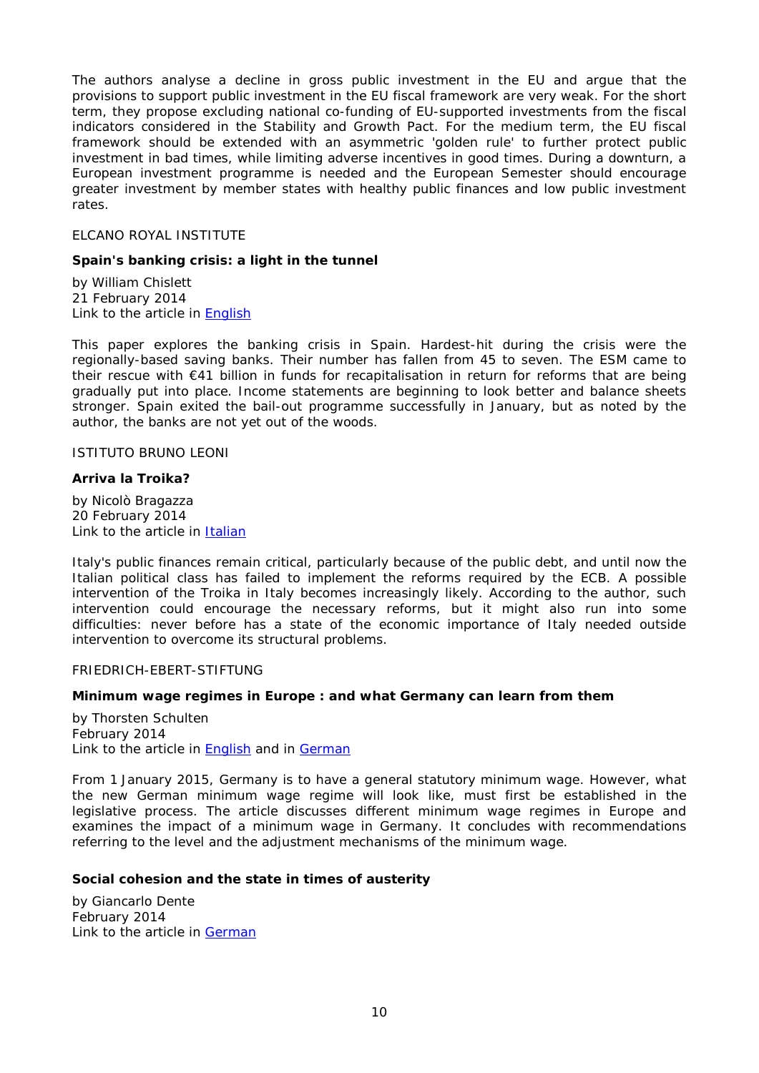The authors analyse a decline in gross public investment in the EU and argue that the provisions to support public investment in the EU fiscal framework are very weak. For the short term, they propose excluding national co-funding of EU-supported investments from the fiscal indicators considered in the Stability and Growth Pact. For the medium term, the EU fiscal framework should be extended with an asymmetric 'golden rule' to further protect public investment in bad times, while limiting adverse incentives in good times. During a downturn, a European investment programme is needed and the European Semester should encourage greater investment by member states with healthy public finances and low public investment rates.

## <span id="page-9-0"></span>ELCANO ROYAL INSTITUTE

#### <span id="page-9-1"></span>**Spain's banking crisis: a light in the tunnel**

by William Chislett 21 February 2014 Link to the article in **English** 

This paper explores the banking crisis in Spain. Hardest-hit during the crisis were the regionally-based saving banks. Their number has fallen from 45 to seven. The ESM came to their rescue with €41 billion in funds for recapitalisation in return for reforms that are being gradually put into place. Income statements are beginning to look better and balance sheets stronger. Spain exited the bail-out programme successfully in January, but as noted by the author, the banks are not yet out of the woods.

## <span id="page-9-2"></span>ISTITUTO BRUNO LEONI

#### <span id="page-9-3"></span>**Arriva la Troika?**

by Nicolò Bragazza 20 February 2014 Link to the article in [Italian](http://www.brunoleonimedia.it/public/BP/IBL_BP_133-Troika.pdf)

Italy's public finances remain critical, particularly because of the public debt, and until now the Italian political class has failed to implement the reforms required by the ECB. A possible intervention of the Troika in Italy becomes increasingly likely. According to the author, such intervention could encourage the necessary reforms, but it might also run into some difficulties: never before has a state of the economic importance of Italy needed outside intervention to overcome its structural problems.

## <span id="page-9-4"></span>FRIEDRICH-EBERT-STIFTUNG

## <span id="page-9-5"></span>**Minimum wage regimes in Europe : and what Germany can learn from them**

by Thorsten Schulten February 2014 Link to the article in [English](http://library.fes.de/pdf-files/id-moe/10558.pdf) and in [German](http://library.fes.de/pdf-files/id-moe/10529.pdf)

From 1 January 2015, Germany is to have a general statutory minimum wage. However, what the new German minimum wage regime will look like, must first be established in the legislative process. The article discusses different minimum wage regimes in Europe and examines the impact of a minimum wage in Germany. It concludes with recommendations referring to the level and the adjustment mechanisms of the minimum wage.

## <span id="page-9-6"></span>**Social cohesion and the state in times of austerity**

by Giancarlo Dente February 2014 Link to the article in [German](http://library.fes.de/pdf-files/id/10564.pdf)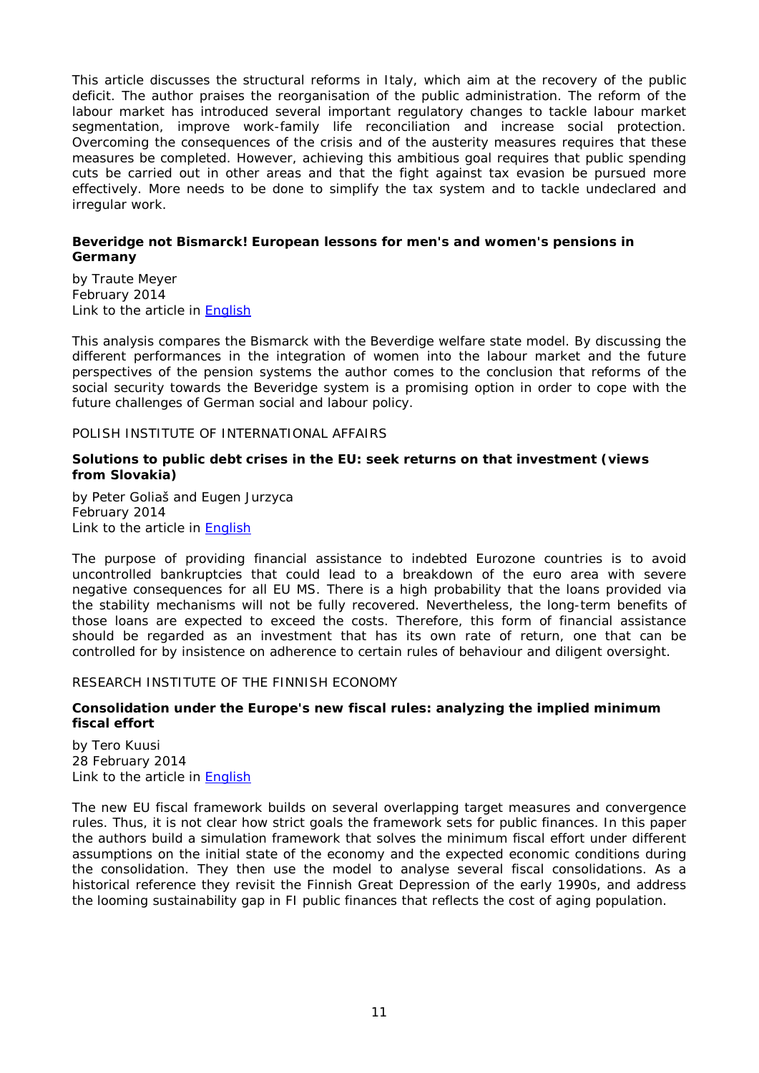This article discusses the structural reforms in Italy, which aim at the recovery of the public deficit. The author praises the reorganisation of the public administration. The reform of the labour market has introduced several important regulatory changes to tackle labour market segmentation, improve work-family life reconciliation and increase social protection. Overcoming the consequences of the crisis and of the austerity measures requires that these measures be completed. However, achieving this ambitious goal requires that public spending cuts be carried out in other areas and that the fight against tax evasion be pursued more effectively. More needs to be done to simplify the tax system and to tackle undeclared and irregular work.

## <span id="page-10-0"></span>**Beveridge not Bismarck! European lessons for men's and women's pensions in Germany**

by Traute Meyer February 2014 Link to the article in [English](http://library.fes.de/pdf-files/id/ipa/10540.pdf)

This analysis compares the Bismarck with the Beverdige welfare state model. By discussing the different performances in the integration of women into the labour market and the future perspectives of the pension systems the author comes to the conclusion that reforms of the social security towards the Beveridge system is a promising option in order to cope with the future challenges of German social and labour policy.

## <span id="page-10-1"></span>POLISH INSTITUTE OF INTERNATIONAL AFFAIRS

## <span id="page-10-2"></span>**Solutions to public debt crises in the EU: seek returns on that investment (views from Slovakia)**

by Peter Goliaš and Eugen Jurzyca February 2014 Link to the article in [English](http://www.pism.pl/files/?id_plik=16403)

The purpose of providing financial assistance to indebted Eurozone countries is to avoid uncontrolled bankruptcies that could lead to a breakdown of the euro area with severe negative consequences for all EU MS. There is a high probability that the loans provided via the stability mechanisms will not be fully recovered. Nevertheless, the long-term benefits of those loans are expected to exceed the costs. Therefore, this form of financial assistance should be regarded as an investment that has its own rate of return, one that can be controlled for by insistence on adherence to certain rules of behaviour and diligent oversight.

#### <span id="page-10-3"></span>RESEARCH INSTITUTE OF THE FINNISH ECONOMY

## <span id="page-10-4"></span>**Consolidation under the Europe's new fiscal rules: analyzing the implied minimum fiscal effort**

by Tero Kuusi 28 February 2014 Link to the article in [English](http://www.etla.fi/wp-content/uploads/ETLA-Working-Papers-23.pdf)

The new EU fiscal framework builds on several overlapping target measures and convergence rules. Thus, it is not clear how strict goals the framework sets for public finances. In this paper the authors build a simulation framework that solves the minimum fiscal effort under different assumptions on the initial state of the economy and the expected economic conditions during the consolidation. They then use the model to analyse several fiscal consolidations. As a historical reference they revisit the Finnish Great Depression of the early 1990s, and address the looming sustainability gap in FI public finances that reflects the cost of aging population.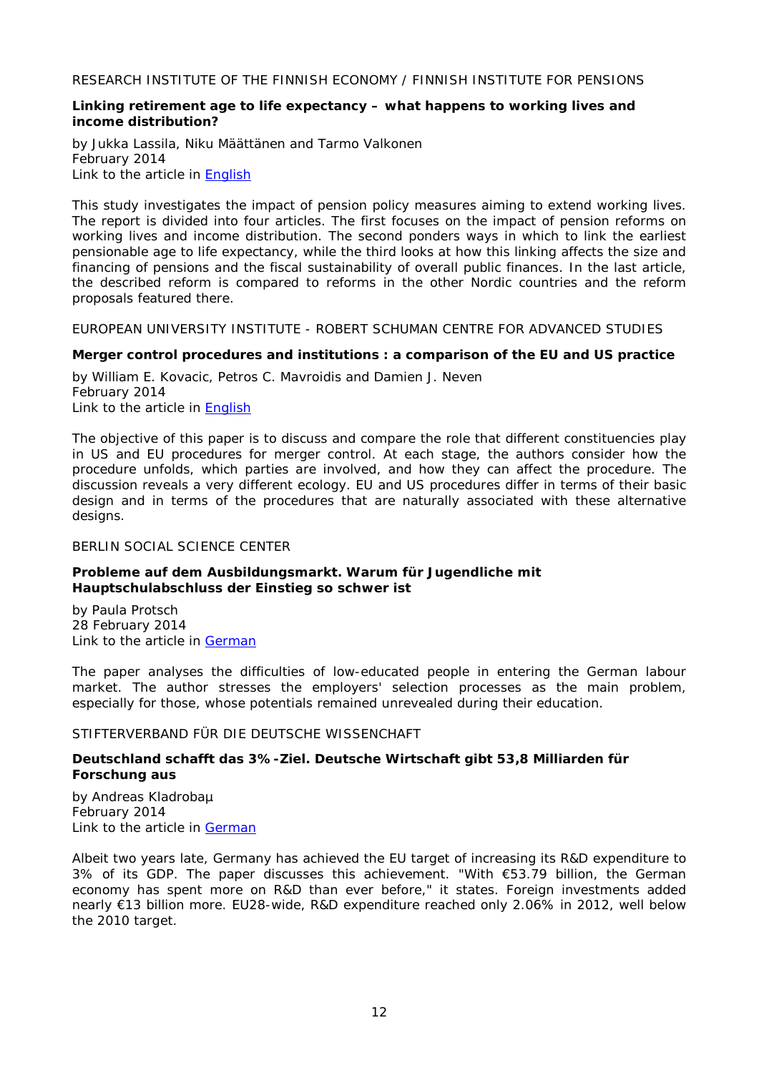<span id="page-11-0"></span>RESEARCH INSTITUTE OF THE FINNISH ECONOMY / FINNISH INSTITUTE FOR PENSIONS

## <span id="page-11-1"></span>**Linking retirement age to life expectancy – what happens to working lives and income distribution?**

by Jukka Lassila, Niku Määttänen and Tarmo Valkonen February 2014 Link to the article in [English](http://www.etla.fi/wp-content/uploads/B_260_eng.pdf)

This study investigates the impact of pension policy measures aiming to extend working lives. The report is divided into four articles. The first focuses on the impact of pension reforms on working lives and income distribution. The second ponders ways in which to link the earliest pensionable age to life expectancy, while the third looks at how this linking affects the size and financing of pensions and the fiscal sustainability of overall public finances. In the last article, the described reform is compared to reforms in the other Nordic countries and the reform proposals featured there.

<span id="page-11-2"></span>EUROPEAN UNIVERSITY INSTITUTE - ROBERT SCHUMAN CENTRE FOR ADVANCED STUDIES

## <span id="page-11-3"></span>**Merger control procedures and institutions : a comparison of the EU and US practice**

by William E. Kovacic, Petros C. Mavroidis and Damien J. Neven February 2014 Link to the article in [English](http://cadmus.eui.eu/bitstream/handle/1814/29938/RSCAS_2014_20.pdf?sequence=1)

The objective of this paper is to discuss and compare the role that different constituencies play in US and EU procedures for merger control. At each stage, the authors consider how the procedure unfolds, which parties are involved, and how they can affect the procedure. The discussion reveals a very different ecology. EU and US procedures differ in terms of their basic design and in terms of the procedures that are naturally associated with these alternative designs.

## <span id="page-11-4"></span>BERLIN SOCIAL SCIENCE CENTER

## <span id="page-11-5"></span>**Probleme auf dem Ausbildungsmarkt. Warum für Jugendliche mit Hauptschulabschluss der Einstieg so schwer ist**

by Paula Protsch 28 February 2014 Link to the article in [German](http://www.wzb.eu/sites/default/files/publikationen/wzbrief/wzbriefbildung282014_protsch_0.pdf)

The paper analyses the difficulties of low-educated people in entering the German labour market. The author stresses the employers' selection processes as the main problem, especially for those, whose potentials remained unrevealed during their education.

## <span id="page-11-6"></span>STIFTERVERBAND FÜR DIE DEUTSCHE WISSENCHAFT

## <span id="page-11-7"></span>**Deutschland schafft das 3%-Ziel. Deutsche Wirtschaft gibt 53,8 Milliarden für Forschung aus**

by Andreas Kladrobaµ February 2014 Link to the article in [German](http://www.stifterverband.info/statistik_und_analysen/wissenschaftsstatistik/publikationen/fue_facts/fue_facts_2014-01.pdf)

Albeit two years late, Germany has achieved the EU target of increasing its R&D expenditure to 3% of its GDP. The paper discusses this achievement. "With €53.79 billion, the German economy has spent more on R&D than ever before," it states. Foreign investments added nearly €13 billion more. EU28-wide, R&D expenditure reached only 2.06% in 2012, well below the 2010 target.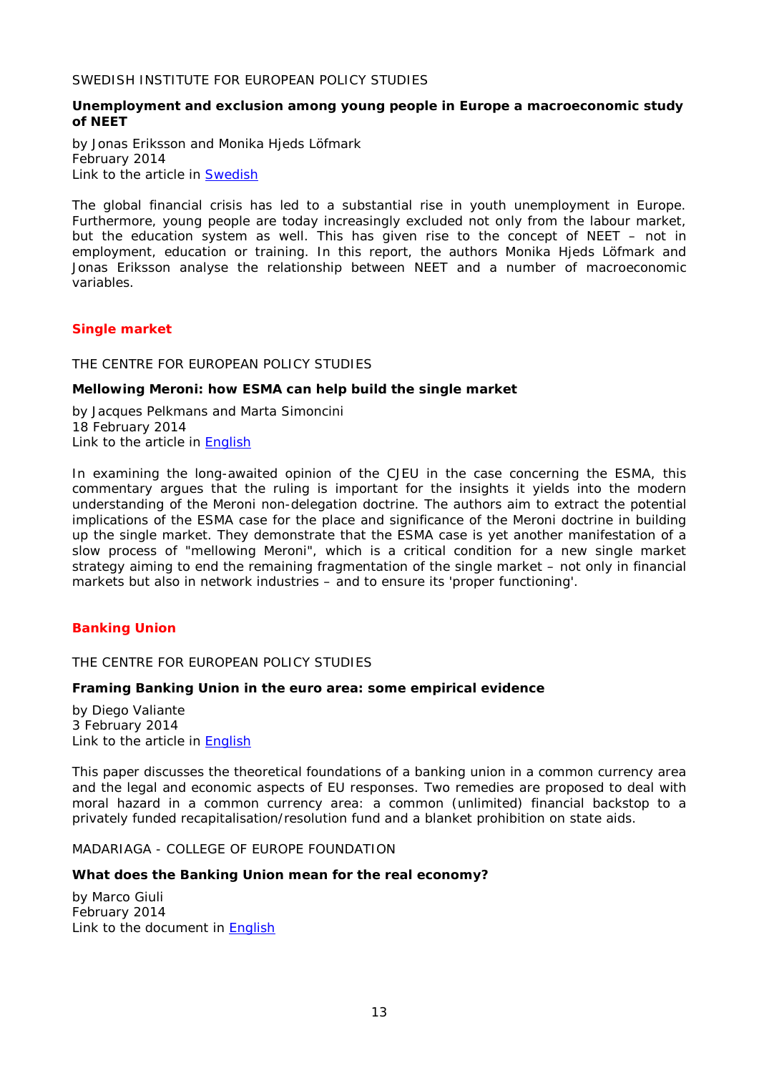<span id="page-12-0"></span>SWEDISH INSTITUTE FOR EUROPEAN POLICY STUDIES

## <span id="page-12-1"></span>**[Unemployment and exclusion among young people in Europe a macroeconomic study](http://www.sieps.se/en/publikationer/unemployment-and-exclusion-among-young-people-in-europe-a-macroeconomic-study-of-neet-20141)  [of](http://www.sieps.se/en/publikationer/unemployment-and-exclusion-among-young-people-in-europe-a-macroeconomic-study-of-neet-20141) NEET**

by Jonas [Eriksson and](http://www.sieps.se/en/category/f%C3%B6rfattare-redakt%C3%B6rer/jonas-eriksson) Monika [Hjeds Löfmark](http://www.sieps.se/en/category/f%C3%B6rfattare-redakt%C3%B6rer/hjeds-l%C3%B6fmark-monika) February 2014 Link to the article in **Swedish** 

The global financial crisis has led to a substantial rise in youth unemployment in Europe. Furthermore, young people are today increasingly excluded not only from the labour market, but the education system as well. This has given rise to the concept of NEET – not in employment, education or training. In this report, the authors Monika Hjeds Löfmark and Jonas Eriksson analyse the relationship between NEET and a number of macroeconomic variables.

## <span id="page-12-2"></span>*Single market*

## <span id="page-12-3"></span>THE CENTRE FOR EUROPEAN POLICY STUDIES

## <span id="page-12-4"></span>**Mellowing Meroni: how ESMA can help build the single market**

by Jacques Pelkmans and Marta Simoncini 18 February 2014 Link to the article in [English](http://www.ceps.be/ceps/dld/8944/pdf)

In examining the long-awaited opinion of the CJEU in the case concerning the ESMA, this commentary argues that the ruling is important for the insights it yields into the modern understanding of the Meroni non-delegation doctrine. The authors aim to extract the potential implications of the ESMA case for the place and significance of the Meroni doctrine in building up the single market. They demonstrate that the ESMA case is yet another manifestation of a slow process of "mellowing Meroni", which is a critical condition for a new single market strategy aiming to end the remaining fragmentation of the single market – not only in financial markets but also in network industries – and to ensure its 'proper functioning'.

## <span id="page-12-5"></span>*Banking Union*

<span id="page-12-6"></span>THE CENTRE FOR EUROPEAN POLICY STUDIES

## <span id="page-12-7"></span>**Framing Banking Union in the euro area: some empirical evidence**

by Diego Valiante 3 February 2014 Link to the article in [English](http://www.ceps.be/ceps/dld/8882/pdf)

This paper discusses the theoretical foundations of a banking union in a common currency area and the legal and economic aspects of EU responses. Two remedies are proposed to deal with moral hazard in a common currency area: a common (unlimited) financial backstop to a privately funded recapitalisation/resolution fund and a blanket prohibition on state aids.

<span id="page-12-8"></span>MADARIAGA - COLLEGE OF EUROPE FOUNDATION

## <span id="page-12-9"></span>**What does the Banking Union mean for the real economy?**

by Marco Giuli February 2014 Link to the document in [English](http://www.madariaga.org/images/madariagapapers/1-feb-2014%20giuli%20-%20what%20does%20the%20banking%20union%20mean%20for%20the%20real%20economy.pdf)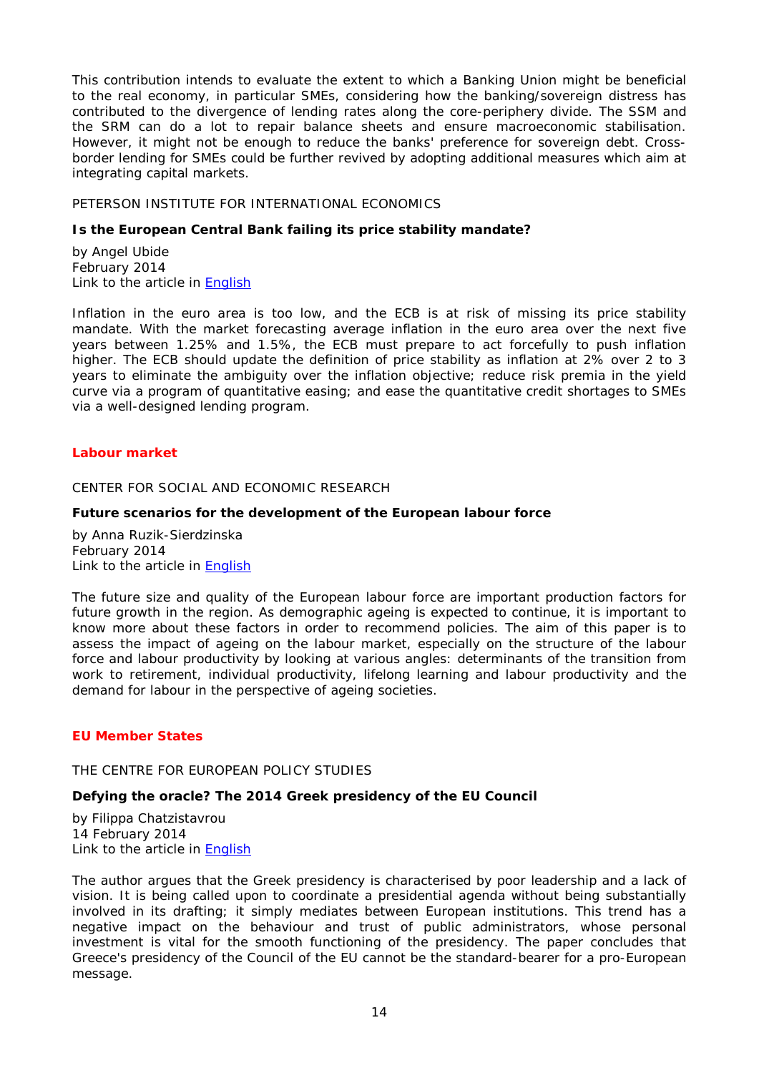This contribution intends to evaluate the extent to which a Banking Union might be beneficial to the real economy, in particular SMEs, considering how the banking/sovereign distress has contributed to the divergence of lending rates along the core-periphery divide. The SSM and the SRM can do a lot to repair balance sheets and ensure macroeconomic stabilisation. However, it might not be enough to reduce the banks' preference for sovereign debt. Crossborder lending for SMEs could be further revived by adopting additional measures which aim at integrating capital markets.

## <span id="page-13-0"></span>PETERSON INSTITUTE FOR INTERNATIONAL ECONOMICS

## <span id="page-13-1"></span>**Is the European Central Bank failing its price stability mandate?**

by Angel Ubide February 2014 Link to the article in [English](http://www.iie.com/publications/pb/pb14-5.pdf)

Inflation in the euro area is too low, and the ECB is at risk of missing its price stability mandate. With the market forecasting average inflation in the euro area over the next five years between 1.25% and 1.5%, the ECB must prepare to act forcefully to push inflation higher. The ECB should update the definition of price stability as inflation at 2% over 2 to 3 years to eliminate the ambiguity over the inflation objective; reduce risk premia in the yield curve via a program of quantitative easing; and ease the quantitative credit shortages to SMEs via a well-designed lending program.

## <span id="page-13-2"></span>*Labour market*

#### <span id="page-13-3"></span>CENTER FOR SOCIAL AND ECONOMIC RESEARCH

#### <span id="page-13-4"></span>**Future scenarios for the development of the European labour force**

by Anna Ruzik-Sierdzinska February 2014 Link to the article in [English](http://www.case-research.eu/sites/default/files/publications/1_2014%20Anna%20Ruzik.pdf)

The future size and quality of the European labour force are important production factors for future growth in the region. As demographic ageing is expected to continue, it is important to know more about these factors in order to recommend policies. The aim of this paper is to assess the impact of ageing on the labour market, especially on the structure of the labour force and labour productivity by looking at various angles: determinants of the transition from work to retirement, individual productivity, lifelong learning and labour productivity and the demand for labour in the perspective of ageing societies.

## <span id="page-13-6"></span><span id="page-13-5"></span>*EU Member States*

## THE CENTRE FOR EUROPEAN POLICY STUDIES

## <span id="page-13-7"></span>**Defying the oracle? The 2014 Greek presidency of the EU Council**

by Filippa Chatzistavrou 14 February 2014 Link to the article in [English](http://www.ceps.be/ceps/dld/8928/pdf)

The author argues that the Greek presidency is characterised by poor leadership and a lack of vision. It is being called upon to coordinate a presidential agenda without being substantially involved in its drafting; it simply mediates between European institutions. This trend has a negative impact on the behaviour and trust of public administrators, whose personal investment is vital for the smooth functioning of the presidency. The paper concludes that Greece's presidency of the Council of the EU cannot be the standard-bearer for a pro-European message.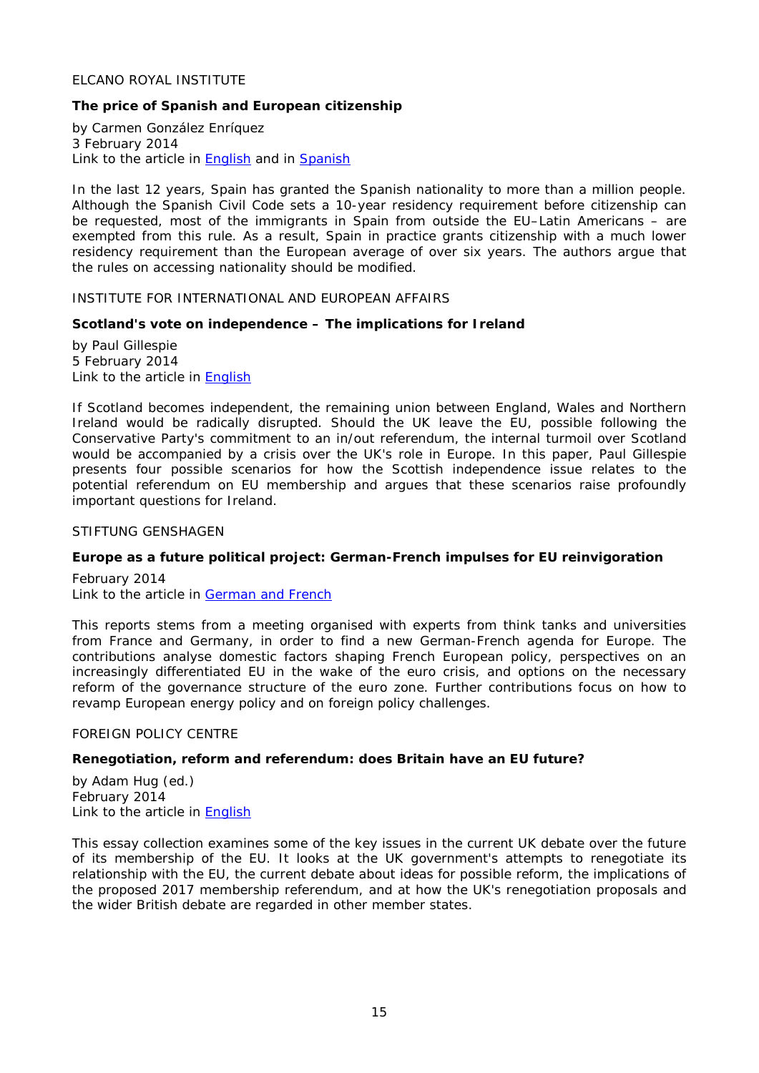## <span id="page-14-0"></span>ELCANO ROYAL INSTITUTE

## <span id="page-14-1"></span>**The price of Spanish and European citizenship**

by Carmen González Enríquez 3 February 2014 Link to the article in **English** and in **Spanish** 

In the last 12 years, Spain has granted the Spanish nationality to more than a million people. Although the Spanish Civil Code sets a 10-year residency requirement before citizenship can be requested, most of the immigrants in Spain from outside the EU–Latin Americans – are exempted from this rule. As a result, Spain in practice grants citizenship with a much lower residency requirement than the European average of over six years. The authors argue that the rules on accessing nationality should be modified.

## <span id="page-14-2"></span>INSTITUTE FOR INTERNATIONAL AND EUROPEAN AFFAIRS

## <span id="page-14-3"></span>**Scotland's vote on independence – The implications for Ireland**

by Paul Gillespie 5 February 2014 Link to the article in [English](http://www.iiea.com/ftp/Publications/2014/Scotland)

If Scotland becomes independent, the remaining union between England, Wales and Northern Ireland would be radically disrupted. Should the UK leave the EU, possible following the Conservative Party's commitment to an in/out referendum, the internal turmoil over Scotland would be accompanied by a crisis over the UK's role in Europe. In this paper, Paul Gillespie presents four possible scenarios for how the Scottish independence issue relates to the potential referendum on EU membership and argues that these scenarios raise profoundly important questions for Ireland.

## <span id="page-14-4"></span>STIFTUNG GENSHAGEN

## <span id="page-14-5"></span>**Europe as a future political project: German-French impulses for EU reinvigoration**

February 2014 Link to the article in [German and French](http://www.stiftung-genshagen.de/uploads/media/Genshagener_Papier_2014_13.pdf)

This reports stems from a meeting organised with experts from think tanks and universities from France and Germany, in order to find a new German-French agenda for Europe. The contributions analyse domestic factors shaping French European policy, perspectives on an increasingly differentiated EU in the wake of the euro crisis, and options on the necessary reform of the governance structure of the euro zone. Further contributions focus on how to revamp European energy policy and on foreign policy challenges.

#### <span id="page-14-6"></span>FOREIGN POLICY CENTRE

## <span id="page-14-7"></span>**Renegotiation, reform and referendum: does Britain have an EU future?**

by Adam Hug (ed.) February 2014 Link to the article in [English](http://fpc.org.uk/fsblob/1616.pdf)

This essay collection examines some of the key issues in the current UK debate over the future of its membership of the EU. It looks at the UK government's attempts to renegotiate its relationship with the EU, the current debate about ideas for possible reform, the implications of the proposed 2017 membership referendum, and at how the UK's renegotiation proposals and the wider British debate are regarded in other member states.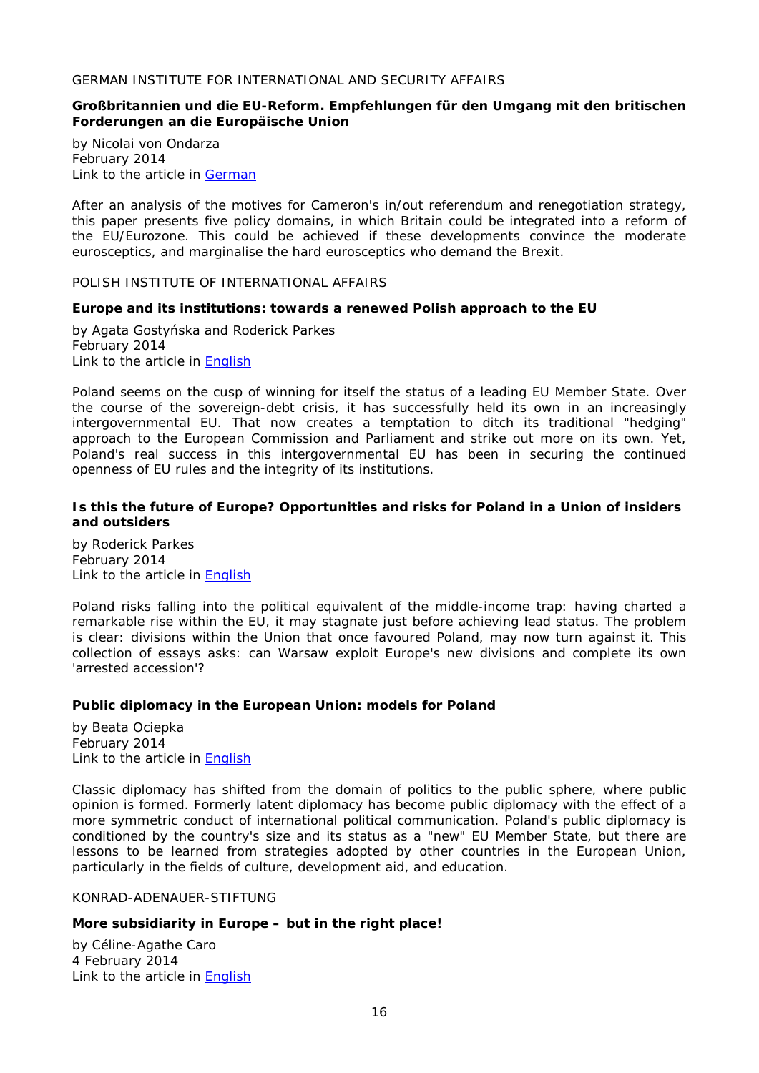## <span id="page-15-0"></span>GERMAN INSTITUTE FOR INTERNATIONAL AND SECURITY AFFAIRS

## <span id="page-15-1"></span>**Großbritannien und die EU-Reform. Empfehlungen für den Umgang mit den britischen Forderungen an die Europäische Union**

by Nicolai von Ondarza February 2014 Link to the article in [German](http://www.swp-berlin.org/fileadmin/contents/products/studien/2014_S04_orz.pdf)

After an analysis of the motives for Cameron's in/out referendum and renegotiation strategy, this paper presents five policy domains, in which Britain could be integrated into a reform of the EU/Eurozone. This could be achieved if these developments convince the moderate eurosceptics, and marginalise the hard eurosceptics who demand the Brexit.

<span id="page-15-2"></span>POLISH INSTITUTE OF INTERNATIONAL AFFAIRS

## <span id="page-15-3"></span>**Europe and its institutions: towards a renewed Polish approach to the EU**

by Agata Gostyńska and Roderick Parkes February 2014 Link to the article in [English](http://www.pism.pl/files/?id_plik=16342)

Poland seems on the cusp of winning for itself the status of a leading EU Member State. Over the course of the sovereign-debt crisis, it has successfully held its own in an increasingly intergovernmental EU. That now creates a temptation to ditch its traditional "hedging" approach to the European Commission and Parliament and strike out more on its own. Yet, Poland's real success in this intergovernmental EU has been in securing the continued openness of EU rules and the integrity of its institutions.

## <span id="page-15-4"></span>**Is this the future of Europe? Opportunities and risks for Poland in a Union of insiders and outsiders**

by Roderick Parkes February 2014 Link to the article in [English](http://www.pism.pl/files/?id_plik=16343)

Poland risks falling into the political equivalent of the middle-income trap: having charted a remarkable rise within the EU, it may stagnate just before achieving lead status. The problem is clear: divisions within the Union that once favoured Poland, may now turn against it. This collection of essays asks: can Warsaw exploit Europe's new divisions and complete its own 'arrested accession'?

## <span id="page-15-5"></span>**Public diplomacy in the European Union: models for Poland**

by Beata Ociepka February 2014 Link to the article in [English](http://www.pism.pl/files/?id_plik=16515)

Classic diplomacy has shifted from the domain of politics to the public sphere, where public opinion is formed. Formerly latent diplomacy has become public diplomacy with the effect of a more symmetric conduct of international political communication. Poland's public diplomacy is conditioned by the country's size and its status as a "new" EU Member State, but there are lessons to be learned from strategies adopted by other countries in the European Union, particularly in the fields of culture, development aid, and education.

<span id="page-15-6"></span>KONRAD-ADENAUER-STIFTUNG

## <span id="page-15-7"></span>**More subsidiarity in Europe – but in the right place!**

by Céline-Agathe Caro 4 February 2014 Link to the article in [English](http://www.kas.de/wf/doc/kas_36756-544-2-30.pdf?140219134458)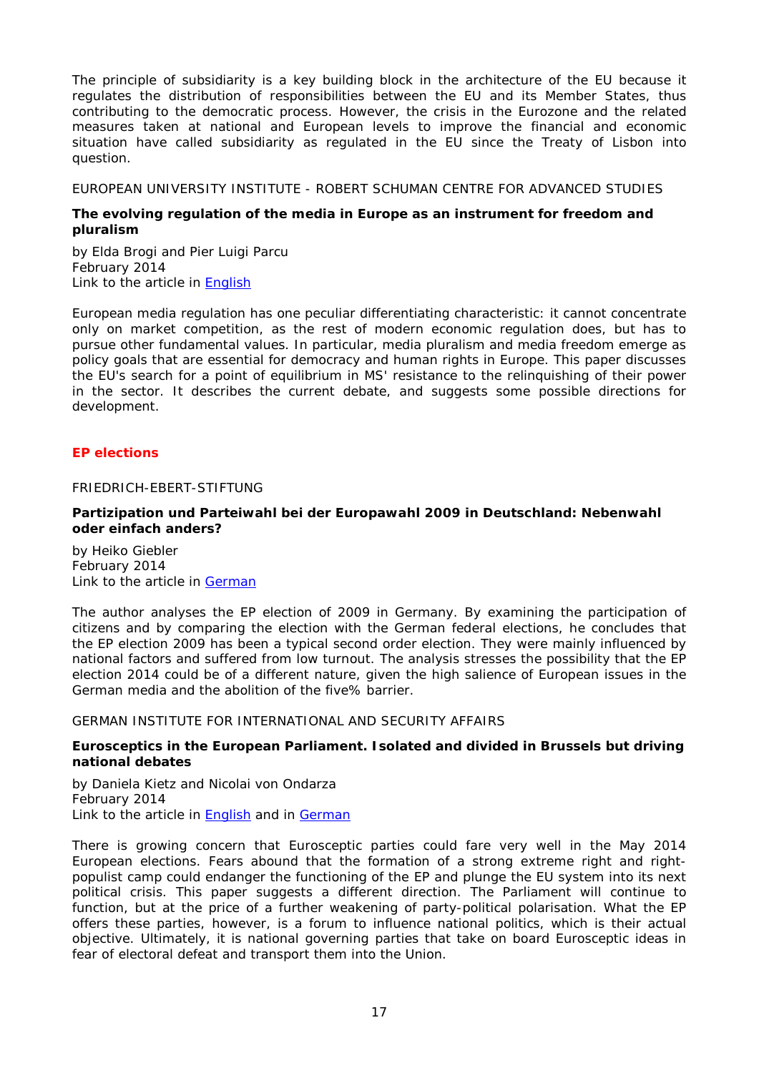The principle of subsidiarity is a key building block in the architecture of the EU because it regulates the distribution of responsibilities between the EU and its Member States, thus contributing to the democratic process. However, the crisis in the Eurozone and the related measures taken at national and European levels to improve the financial and economic situation have called subsidiarity as regulated in the EU since the Treaty of Lisbon into question.

<span id="page-16-0"></span>EUROPEAN UNIVERSITY INSTITUTE - ROBERT SCHUMAN CENTRE FOR ADVANCED STUDIES

## <span id="page-16-1"></span>**The evolving regulation of the media in Europe as an instrument for freedom and pluralism**

by Elda Brogi and Pier Luigi Parcu February 2014 Link to the article in [English](http://cadmus.eui.eu/bitstream/handle/1814/29923/RSCAS_2014_09.pdf?sequence=1)

European media regulation has one peculiar differentiating characteristic: it cannot concentrate only on market competition, as the rest of modern economic regulation does, but has to pursue other fundamental values. In particular, media pluralism and media freedom emerge as policy goals that are essential for democracy and human rights in Europe. This paper discusses the EU's search for a point of equilibrium in MS' resistance to the relinquishing of their power in the sector. It describes the current debate, and suggests some possible directions for development.

## <span id="page-16-2"></span>*EP elections*

<span id="page-16-3"></span>FRIEDRICH-EBERT-STIFTUNG

## <span id="page-16-4"></span>*Partizipation und Parteiwahl* **bei der Europawahl 2009 in Deutschland: Nebenwahl oder einfach anders?**

by Heiko Giebler February 2014 Link to the article in [German](http://library.fes.de/pdf-files/dialog/10569.pdf)

The author analyses the EP election of 2009 in Germany. By examining the participation of citizens and by comparing the election with the German federal elections, he concludes that the EP election 2009 has been a typical second order election. They were mainly influenced by national factors and suffered from low turnout. The analysis stresses the possibility that the EP election 2014 could be of a different nature, given the high salience of European issues in the German media and the abolition of the five% barrier.

<span id="page-16-5"></span>GERMAN INSTITUTE FOR INTERNATIONAL AND SECURITY AFFAIRS

## <span id="page-16-6"></span>**Eurosceptics in the European Parliament. Isolated and divided in Brussels but driving national debates**

by [Daniela Kietz](http://www.swp-berlin.org/de/wissenschaftler-detail/profile/daniela_kietz.html) and Nicolai von Ondarza February 2014 Link to the article in **English** and in [German](http://www.swp-berlin.org/fileadmin/contents/products/aktuell/2014A07_ktz_orz.pdf)

There is growing concern that Eurosceptic parties could fare very well in the May 2014 European elections. Fears abound that the formation of a strong extreme right and rightpopulist camp could endanger the functioning of the EP and plunge the EU system into its next political crisis. This paper suggests a different direction. The Parliament will continue to function, but at the price of a further weakening of party-political polarisation. What the EP offers these parties, however, is a forum to influence national politics, which is their actual objective. Ultimately, it is national governing parties that take on board Eurosceptic ideas in fear of electoral defeat and transport them into the Union.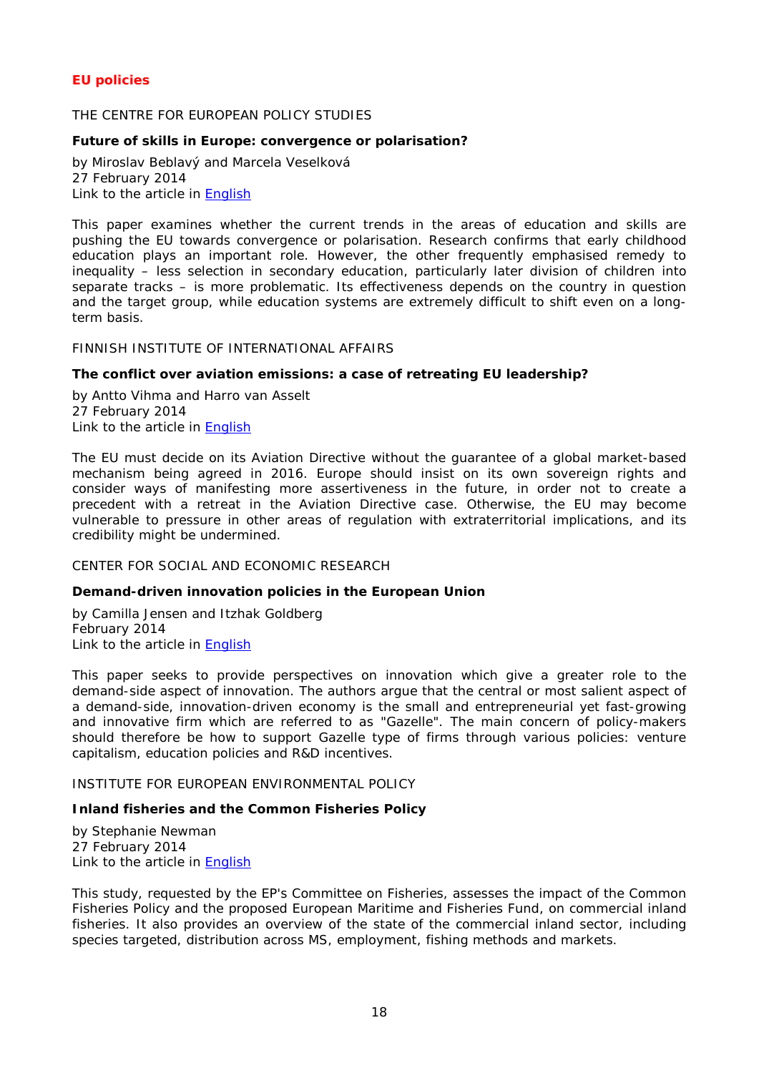## <span id="page-17-0"></span>*EU policies*

## <span id="page-17-1"></span>THE CENTRE FOR EUROPEAN POLICY STUDIES

## <span id="page-17-2"></span>**Future of skills in Europe: convergence or polarisation?**

by Miroslav Beblavý and Marcela Veselková 27 February 2014 Link to the article in [English](http://www.ceps.be/ceps/dld/8965/pdf)

This paper examines whether the current trends in the areas of education and skills are pushing the EU towards convergence or polarisation. Research confirms that early childhood education plays an important role. However, the other frequently emphasised remedy to inequality – less selection in secondary education, particularly later division of children into separate tracks – is more problematic. Its effectiveness depends on the country in question and the target group, while education systems are extremely difficult to shift even on a longterm basis.

#### <span id="page-17-3"></span>FINNISH INSTITUTE OF INTERNATIONAL AFFAIRS

## <span id="page-17-4"></span>**The conflict over aviation emissions: a case of retreating EU leadership?**

by Antto Vihma and Harro van Asselt 27 February 2014 Link to the article in [English](http://www.fiia.fi/assets/publications/bp150.pdf)

The EU must decide on its Aviation Directive without the guarantee of a global market-based mechanism being agreed in 2016. Europe should insist on its own sovereign rights and consider ways of manifesting more assertiveness in the future, in order not to create a precedent with a retreat in the Aviation Directive case. Otherwise, the EU may become vulnerable to pressure in other areas of regulation with extraterritorial implications, and its credibility might be undermined.

#### <span id="page-17-5"></span>CENTER FOR SOCIAL AND ECONOMIC RESEARCH

## <span id="page-17-6"></span>**Demand-driven innovation policies in the European Union**

by Camilla Jensen and Itzhak Goldberg February 2014 Link to the article in [English](http://www.case-research.eu/sites/default/files/publications/S%26A%20468_updated.pdf)

This paper seeks to provide perspectives on innovation which give a greater role to the demand-side aspect of innovation. The authors argue that the central or most salient aspect of a demand-side, innovation-driven economy is the small and entrepreneurial yet fast-growing and innovative firm which are referred to as "Gazelle". The main concern of policy-makers should therefore be how to support Gazelle type of firms through various policies: venture capitalism, education policies and R&D incentives.

#### <span id="page-17-7"></span>INSTITUTE FOR EUROPEAN ENVIRONMENTAL POLICY

## <span id="page-17-8"></span>**Inland fisheries and the Common Fisheries Policy**

by [Stephanie Newman](http://www.ieep.eu/about-us/our-people/stephanie-newman-676) 27 February 2014 Link to the article in [English](http://www.ieep.eu/assets/1346/Inland_Fisheries_and_the_Common_Fisheries_Policy.pdf)

This study, requested by the EP's Committee on Fisheries, assesses the impact of the Common Fisheries Policy and the proposed European Maritime and Fisheries Fund, on commercial inland fisheries. It also provides an overview of the state of the commercial inland sector, including species targeted, distribution across MS, employment, fishing methods and markets.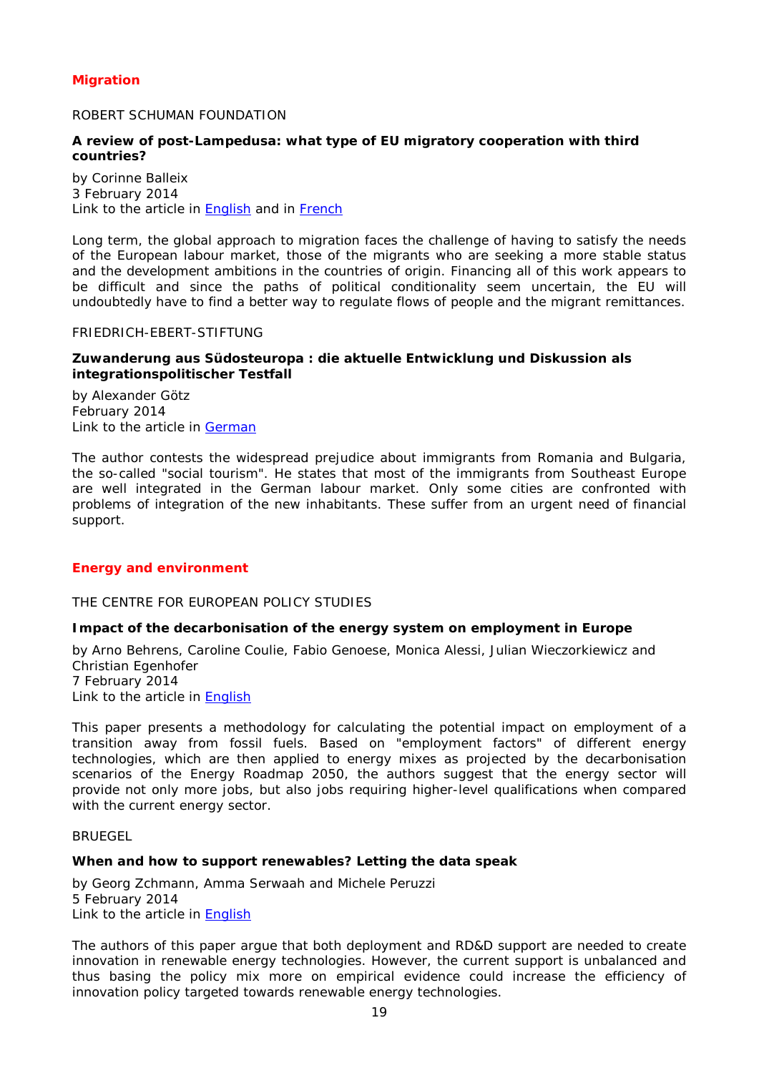## <span id="page-18-0"></span>*Migration*

## <span id="page-18-1"></span>ROBERT SCHUMAN FOUNDATION

## <span id="page-18-2"></span>**A review of post-Lampedusa: what type of EU migratory cooperation with third countries?**

by Corinne Balleix 3 February 2014 Link to the article in **English** and in **French** 

Long term, the global approach to migration faces the challenge of having to satisfy the needs of the European labour market, those of the migrants who are seeking a more stable status and the development ambitions in the countries of origin. Financing all of this work appears to be difficult and since the paths of political conditionality seem uncertain, the EU will undoubtedly have to find a better way to regulate flows of people and the migrant remittances.

#### <span id="page-18-3"></span>FRIEDRICH-EBERT-STIFTUNG

## <span id="page-18-4"></span>**Zuwanderung aus Südosteuropa : die aktuelle Entwicklung und Diskussion als integrationspolitischer Testfall**

by Alexander Götz February 2014 Link to the article in [German](http://library.fes.de/pdf-files/wiso/10554.pdf)

The author contests the widespread prejudice about immigrants from Romania and Bulgaria, the so-called "social tourism". He states that most of the immigrants from Southeast Europe are well integrated in the German labour market. Only some cities are confronted with problems of integration of the new inhabitants. These suffer from an urgent need of financial support.

#### <span id="page-18-5"></span>*Energy and environment*

## <span id="page-18-6"></span>THE CENTRE FOR EUROPEAN POLICY STUDIES

#### <span id="page-18-7"></span>**Impact of the decarbonisation of the energy system on employment in Europe**

by Arno Behrens, Caroline Coulie, Fabio Genoese, Monica Alessi, Julian Wieczorkiewicz and Christian Egenhofer 7 February 2014 Link to the article in [English](http://www.ceps.be/ceps/dld/8913/pdf)

This paper presents a methodology for calculating the potential impact on employment of a transition away from fossil fuels. Based on "employment factors" of different energy technologies, which are then applied to energy mixes as projected by the decarbonisation scenarios of the *Energy Roadmap 2050,* the authors suggest that the energy sector will provide not only more jobs, but also jobs requiring higher-level qualifications when compared with the current energy sector.

#### <span id="page-18-8"></span>BRUEGEL

#### <span id="page-18-9"></span>**When and how to support renewables? Letting the data speak**

by Georg Zchmann, Amma Serwaah and Michele Peruzzi 5 February 2014 Link to the article in [English](http://www.bruegel.org/download/parent/811-when-and-how-to-support-renewables-letting-the-data-speak/file/1703-when-and-how-to-support-renewables-letting-the-data-speak/)

The authors of this paper argue that both deployment and RD&D support are needed to create innovation in renewable energy technologies. However, the current support is unbalanced and thus basing the policy mix more on empirical evidence could increase the efficiency of innovation policy targeted towards renewable energy technologies.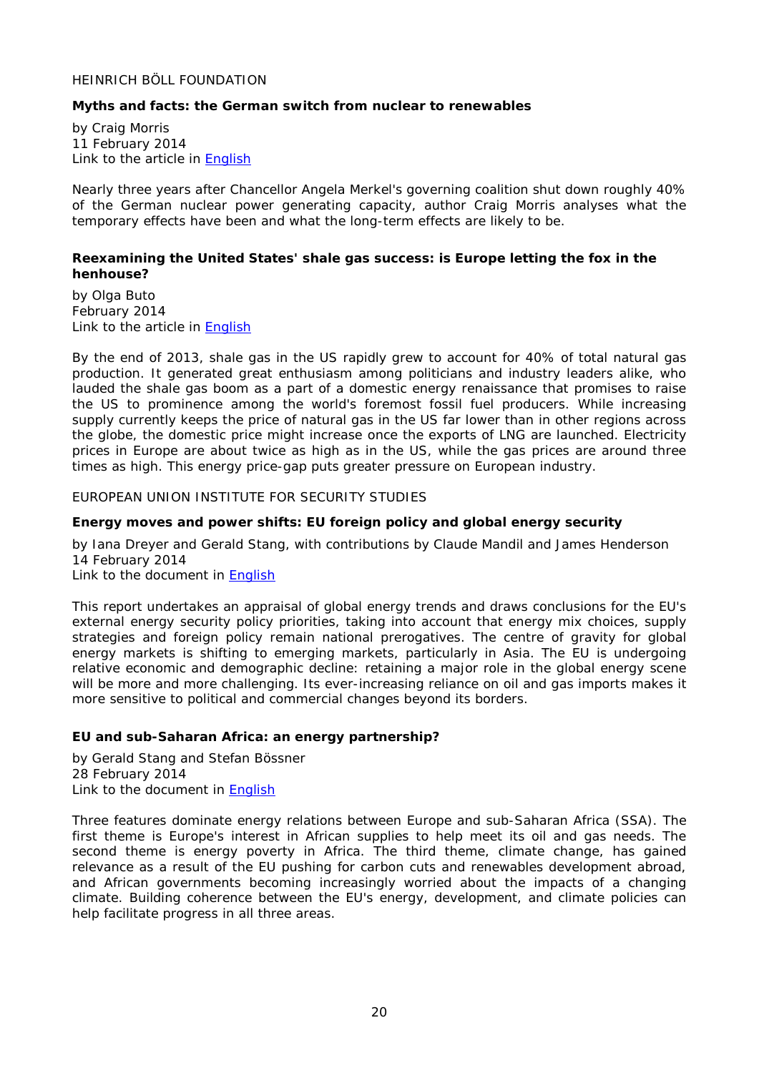## <span id="page-19-0"></span>HEINRICH BÖLL FOUNDATION

## <span id="page-19-1"></span>**Myths and facts: the German switch from nuclear to renewables**

by Craig Morris 11 February 2014 Link to the article in [English](http://www.boell.org/downloads/Morris_Myths_about_German_energy_2nd_Edition.pdf)

Nearly three years after Chancellor Angela Merkel's governing coalition shut down roughly 40% of the German nuclear power generating capacity, author Craig Morris analyses what the temporary effects have been and what the long-term effects are likely to be.

#### <span id="page-19-2"></span>**Reexamining the United States' shale gas success: is Europe letting the fox in the henhouse?**

by Olga Buto February 2014 Link to the article in **English** 

By the end of 2013, shale gas in the US rapidly grew to account for 40% of total natural gas production. It generated great enthusiasm among politicians and industry leaders alike, who lauded the shale gas boom as a part of a domestic energy renaissance that promises to raise the US to prominence among the world's foremost fossil fuel producers. While increasing supply currently keeps the price of natural gas in the US far lower than in other regions across the globe, the domestic price might increase once the exports of LNG are launched. Electricity prices in Europe are about twice as high as in the US, while the gas prices are around three times as high. This energy price-gap puts greater pressure on European industry.

<span id="page-19-3"></span>EUROPEAN UNION INSTITUTE FOR SECURITY STUDIES

## <span id="page-19-4"></span>**Energy moves and power shifts: EU foreign policy and global energy security**

by Iana Dreyer and Gerald Stang, with contributions by Claude Mandil and James Henderson 14 February 2014 Link to the document in [English](http://www.iss.europa.eu/uploads/media/Report_18.pdf)

This report undertakes an appraisal of global energy trends and draws conclusions for the EU's external energy security policy priorities, taking into account that energy mix choices, supply strategies and foreign policy remain national prerogatives. The centre of gravity for global energy markets is shifting to emerging markets, particularly in Asia. The EU is undergoing relative economic and demographic decline: retaining a major role in the global energy scene will be more and more challenging. Its ever-increasing reliance on oil and gas imports makes it more sensitive to political and commercial changes beyond its borders.

## <span id="page-19-5"></span>**EU and sub-Saharan Africa: an energy partnership?**

by Gerald Stang and Stefan Bössner 28 February 2014 Link to the document in [English](http://www.iss.europa.eu/uploads/media/Brief_5_energy_in_SSA.pdf)

Three features dominate energy relations between Europe and sub-Saharan Africa (SSA). The first theme is Europe's interest in African supplies to help meet its oil and gas needs. The second theme is energy poverty in Africa. The third theme, climate change, has gained relevance as a result of the EU pushing for carbon cuts and renewables development abroad, and African governments becoming increasingly worried about the impacts of a changing climate. Building coherence between the EU's energy, development, and climate policies can help facilitate progress in all three areas.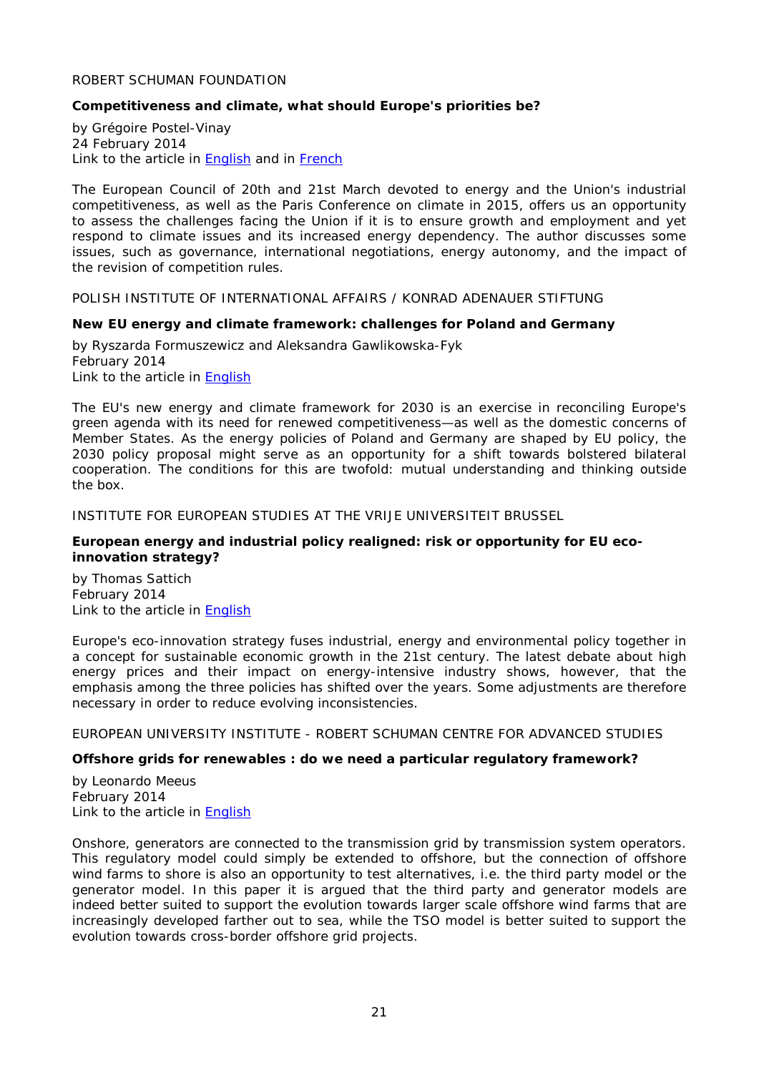## <span id="page-20-0"></span>ROBERT SCHUMAN FOUNDATION

## <span id="page-20-1"></span>**Competitiveness and climate, what should Europe's priorities be?**

by Grégoire Postel-Vinay 24 February 2014 Link to the article in **English** and in **French** 

The European Council of 20th and 21st March devoted to energy and the Union's industrial competitiveness, as well as the Paris Conference on climate in 2015, offers us an opportunity to assess the challenges facing the Union if it is to ensure growth and employment and yet respond to climate issues and its increased energy dependency. The author discusses some issues, such as governance, international negotiations, energy autonomy, and the impact of the revision of competition rules.

<span id="page-20-2"></span>POLISH INSTITUTE OF INTERNATIONAL AFFAIRS / KONRAD ADENAUER STIFTUNG

#### <span id="page-20-3"></span>**New EU energy and climate framework: challenges for Poland and Germany**

by [Ryszarda Formuszewicz](http://www.pism.pl/experts/Ryszarda-Formuszewicz) and [Aleksandra Gawlikowska-Fyk](http://www.pism.pl/experts/Aleksandra-Gawlikowska-Fyk) February 2014 Link to the article in [English](http://www.pism.pl/files/?id_plik=16533)

The EU's new energy and climate framework for 2030 is an exercise in reconciling Europe's green agenda with its need for renewed competitiveness—as well as the domestic concerns of Member States. As the energy policies of Poland and Germany are shaped by EU policy, the 2030 policy proposal might serve as an opportunity for a shift towards bolstered bilateral cooperation. The conditions for this are twofold: mutual understanding and thinking outside the box.

<span id="page-20-4"></span>INSTITUTE FOR EUROPEAN STUDIES AT THE VRIJE UNIVERSITEIT BRUSSEL

#### <span id="page-20-5"></span>**European energy and industrial policy realigned: risk or opportunity for EU ecoinnovation strategy?**

by [Thomas Sattich](http://www.ies.be/users/thomas-sattich) February 2014 Link to the article in [English](http://www.ies.be/files/2014_3_PB-print-1.pdf)

Europe's eco-innovation strategy fuses industrial, energy and environmental policy together in a concept for sustainable economic growth in the 21st century. The latest debate about high energy prices and their impact on energy-intensive industry shows, however, that the emphasis among the three policies has shifted over the years. Some adjustments are therefore necessary in order to reduce evolving inconsistencies.

<span id="page-20-6"></span>EUROPEAN UNIVERSITY INSTITUTE - ROBERT SCHUMAN CENTRE FOR ADVANCED STUDIES

## <span id="page-20-7"></span>**Offshore grids for renewables : do we need a particular regulatory framework?**

by Leonardo Meeus February 2014 Link to the article in [English](http://cadmus.eui.eu/bitstream/handle/1814/30078/RSCAS_2014_24.pdf?sequence=1)

Onshore, generators are connected to the transmission grid by transmission system operators. This regulatory model could simply be extended to offshore, but the connection of offshore wind farms to shore is also an opportunity to test alternatives, i.e. the third party model or the generator model. In this paper it is argued that the third party and generator models are indeed better suited to support the evolution towards larger scale offshore wind farms that are increasingly developed farther out to sea, while the TSO model is better suited to support the evolution towards cross-border offshore grid projects.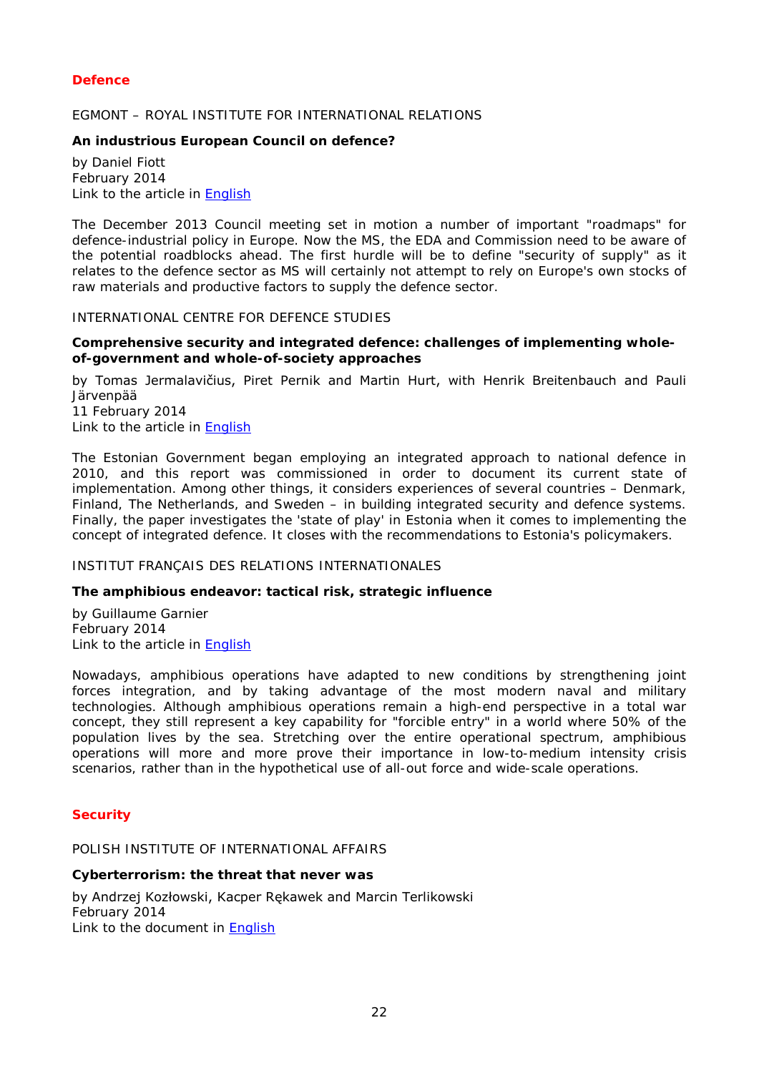## <span id="page-21-0"></span>*Defence*

## <span id="page-21-1"></span>EGMONT – ROYAL INSTITUTE FOR INTERNATIONAL RELATIONS

## <span id="page-21-2"></span>**An industrious European Council on defence?**

by Daniel Fiott February 2014 Link to the article in [English](http://www.egmontinstitute.be/wp-content/uploads/2014/03/SPB53.pdf)

The December 2013 Council meeting set in motion a number of important "roadmaps" for defence-industrial policy in Europe. Now the MS, the EDA and Commission need to be aware of the potential roadblocks ahead. The first hurdle will be to define "security of supply" as it relates to the defence sector as MS will certainly not attempt to rely on Europe's own stocks of raw materials and productive factors to supply the defence sector.

## <span id="page-21-3"></span>INTERNATIONAL CENTRE FOR DEFENCE STUDIES

## <span id="page-21-4"></span>**Comprehensive security and integrated defence: challenges of implementing wholeof-government and whole-of-society approaches**

by Tomas Jermalavičius, Piret Pernik and Martin Hurt, with Henrik Breitenbauch and Pauli Järvenpää

11 February 2014 Link to the article in [English](http://icds.ee/fileadmin/failid/ICDS_Report-Comprehensive_Security_and_Integrated_Defence-10_February_2014.pdf)

The Estonian Government began employing an integrated approach to national defence in 2010, and this report was commissioned in order to document its current state of implementation. Among other things, it considers experiences of several countries – Denmark, Finland, The Netherlands, and Sweden – in building integrated security and defence systems. Finally, the paper investigates the 'state of play' in Estonia when it comes to implementing the concept of integrated defence. It closes with the recommendations to Estonia's policymakers.

#### <span id="page-21-5"></span>INSTITUT FRANÇAIS DES RELATIONS INTERNATIONALES

#### <span id="page-21-6"></span>**The amphibious endeavor: tactical risk, strategic influence**

by Guillaume Garnier February 2014 Link to the article in [English](http://www.ifri.org/downloads/fs46bisgarnier.pdf)

Nowadays, amphibious operations have adapted to new conditions by strengthening joint forces integration, and by taking advantage of the most modern naval and military technologies. Although amphibious operations remain a high-end perspective in a total war concept, they still represent a key capability for "forcible entry" in a world where 50% of the population lives by the sea. Stretching over the entire operational spectrum, amphibious operations will more and more prove their importance in low-to-medium intensity crisis scenarios, rather than in the hypothetical use of all-out force and wide-scale operations.

## <span id="page-21-7"></span>*Security*

## <span id="page-21-8"></span>POLISH INSTITUTE OF INTERNATIONAL AFFAIRS

#### <span id="page-21-9"></span>**Cyberterrorism: the threat that never was**

by Andrzej Kozłowski, Kacper Rękawek and Marcin Terlikowski February 2014 Link to the document in [English](http://www.pism.pl/files/?id_plik=16470)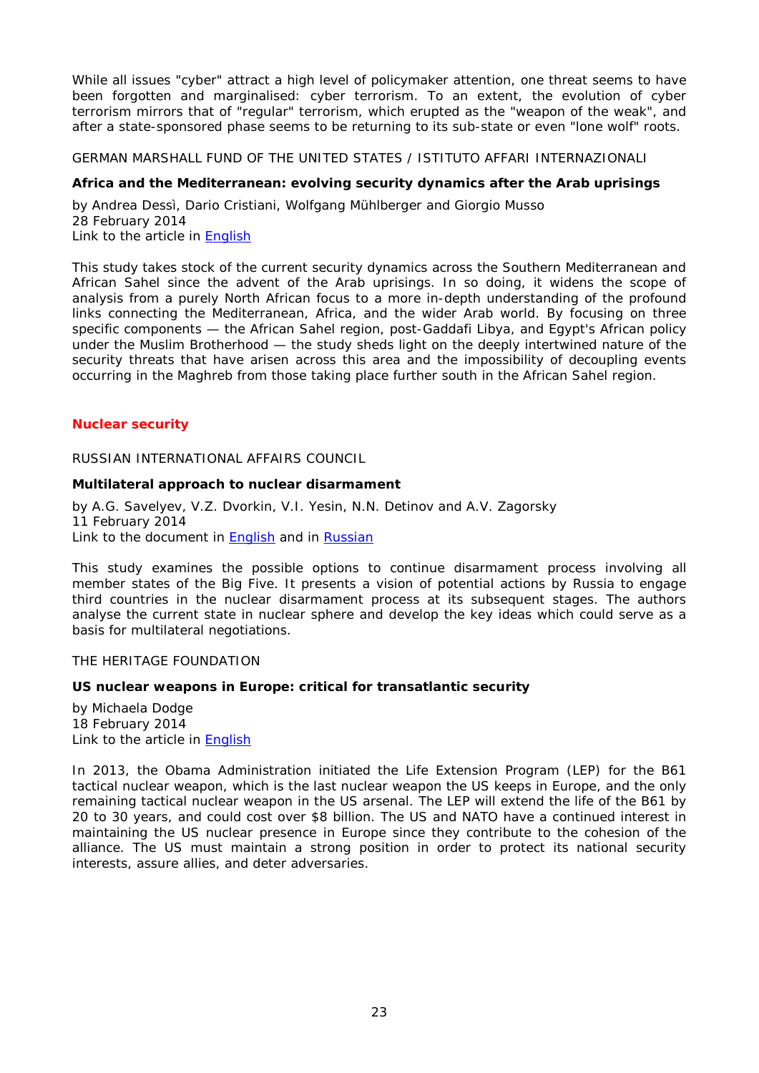While all issues "cyber" attract a high level of policymaker attention, one threat seems to have been forgotten and marginalised: cyber terrorism. To an extent, the evolution of cyber terrorism mirrors that of "regular" terrorism, which erupted as the "weapon of the weak", and after a state-sponsored phase seems to be returning to its sub-state or even "lone wolf" roots.

<span id="page-22-0"></span>GERMAN MARSHALL FUND OF THE UNITED STATES / ISTITUTO AFFARI INTERNAZIONALI

## <span id="page-22-1"></span>**Africa and the Mediterranean: evolving security dynamics after the Arab uprisings**

by Andrea Dessì, Dario Cristiani, Wolfgang Mühlberger and Giorgio Musso 28 February 2014 Link to the article in [English](http://www.gmfus.org/wp-content/blogs.dir/1/files_mf/1393622139DessiEtAl_AfricaMed_Jan14_web.pdf)

This study takes stock of the current security dynamics across the Southern Mediterranean and African Sahel since the advent of the Arab uprisings. In so doing, it widens the scope of analysis from a purely North African focus to a more in-depth understanding of the profound links connecting the Mediterranean, Africa, and the wider Arab world. By focusing on three specific components — the African Sahel region, post-Gaddafi Libya, and Egypt's African policy under the Muslim Brotherhood — the study sheds light on the deeply intertwined nature of the security threats that have arisen across this area and the impossibility of decoupling events occurring in the Maghreb from those taking place further south in the African Sahel region.

## <span id="page-22-3"></span><span id="page-22-2"></span>*Nuclear security*

RUSSIAN INTERNATIONAL AFFAIRS COUNCIL

## <span id="page-22-4"></span>**Multilateral approach to nuclear disarmament**

by A.G. Savelyev, V.Z. Dvorkin, V.I. Yesin, N.N. Detinov and A.V. Zagorsky 11 February 2014 Link to the document in [English](http://russiancouncil.ru/common/upload/WP_NUC_DIS_9_eng.pdf) and in [Russian](http://russiancouncil.ru/common/upload/WP_NUC_DIS_9_rus.pdf)

This study examines the possible options to continue disarmament process involving all member states of the Big Five. It presents a vision of potential actions by Russia to engage third countries in the nuclear disarmament process at its subsequent stages. The authors analyse the current state in nuclear sphere and develop the key ideas which could serve as a basis for multilateral negotiations.

<span id="page-22-5"></span>THE HERITAGE FOUNDATION

## <span id="page-22-6"></span>**US nuclear weapons in Europe: critical for transatlantic security**

by Michaela Dodge 18 February 2014 Link to the article in **English** 

In 2013, the Obama Administration initiated the Life Extension Program (LEP) for the B61 tactical nuclear weapon, which is the last nuclear weapon the US keeps in Europe, and the only remaining tactical nuclear weapon in the US arsenal. The LEP will extend the life of the B61 by 20 to 30 years, and could cost over \$8 billion. The US and NATO have a continued interest in maintaining the US nuclear presence in Europe since they contribute to the cohesion of the alliance. The US must maintain a strong position in order to protect its national security interests, assure allies, and deter adversaries.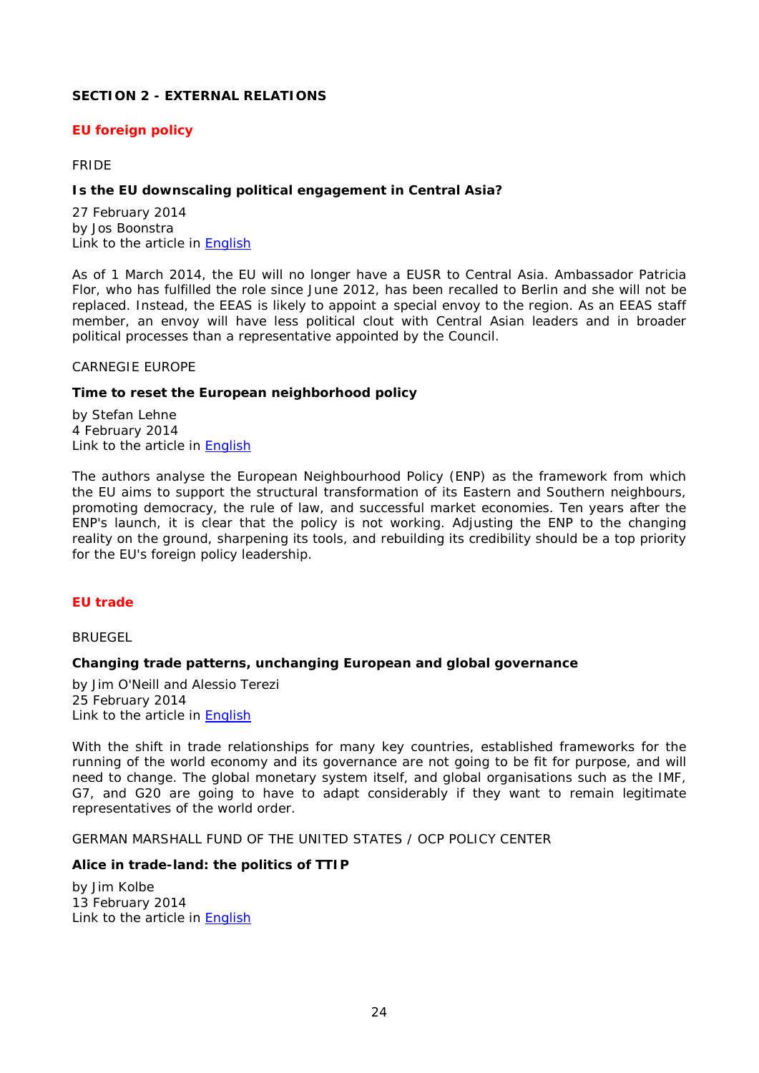## <span id="page-23-0"></span>**SECTION 2 - EXTERNAL RELATIONS**

## <span id="page-23-1"></span>*EU foreign policy*

## <span id="page-23-2"></span>FRIDE

## <span id="page-23-3"></span>**Is the EU downscaling political engagement in Central Asia?**

27 February 2014 by Jos Boonstra Link to the article in **English** 

As of 1 March 2014, the EU will no longer have a EUSR to Central Asia. Ambassador Patricia Flor, who has fulfilled the role since June 2012, has been recalled to Berlin and she will not be replaced. Instead, the EEAS is likely to appoint a special envoy to the region. As an EEAS staff member, an envoy will have less political clout with Central Asian leaders and in broader political processes than a representative appointed by the Council.

#### <span id="page-23-4"></span>CARNEGIE EUROPE

#### <span id="page-23-5"></span>**Time to reset the European neighborhood policy**

by Stefan Lehne 4 February 2014 Link to the article in [English](http://carnegieendowment.org/files/time_reset_enp.pdf)

The authors analyse the European Neighbourhood Policy (ENP) as the framework from which the EU aims to support the structural transformation of its Eastern and Southern neighbours, promoting democracy, the rule of law, and successful market economies. Ten years after the ENP's launch, it is clear that the policy is not working. Adjusting the ENP to the changing reality on the ground, sharpening its tools, and rebuilding its credibility should be a top priority for the EU's foreign policy leadership.

## <span id="page-23-6"></span>*EU trade*

<span id="page-23-7"></span>**BRUEGEL** 

## <span id="page-23-8"></span>**Changing trade patterns, unchanging European and global governance**

by Jim O'Neill and Alessio Terezi 25 February 2014 Link to the article in [English](http://www.bruegel.org/download/parent/817-changing-trade-patterns-unchanging-european-and-global-governance/file/1713-changing-trade-patterns-unchanging-european-and-global-governance/)

With the shift in trade relationships for many key countries, established frameworks for the running of the world economy and its governance are not going to be fit for purpose, and will need to change. The global monetary system itself, and global organisations such as the IMF, G7, and G20 are going to have to adapt considerably if they want to remain legitimate representatives of the world order.

<span id="page-23-9"></span>GERMAN MARSHALL FUND OF THE UNITED STATES / OCP POLICY CENTER

## <span id="page-23-10"></span>**Alice in trade-land: the politics of TTIP**

by Jim Kolbe 13 February 2014 Link to the article in [English](http://www.gmfus.org/wp-content/blogs.dir/1/files_mf/1392316139Kolbe_AliceTradeLand_Feb14.pdf)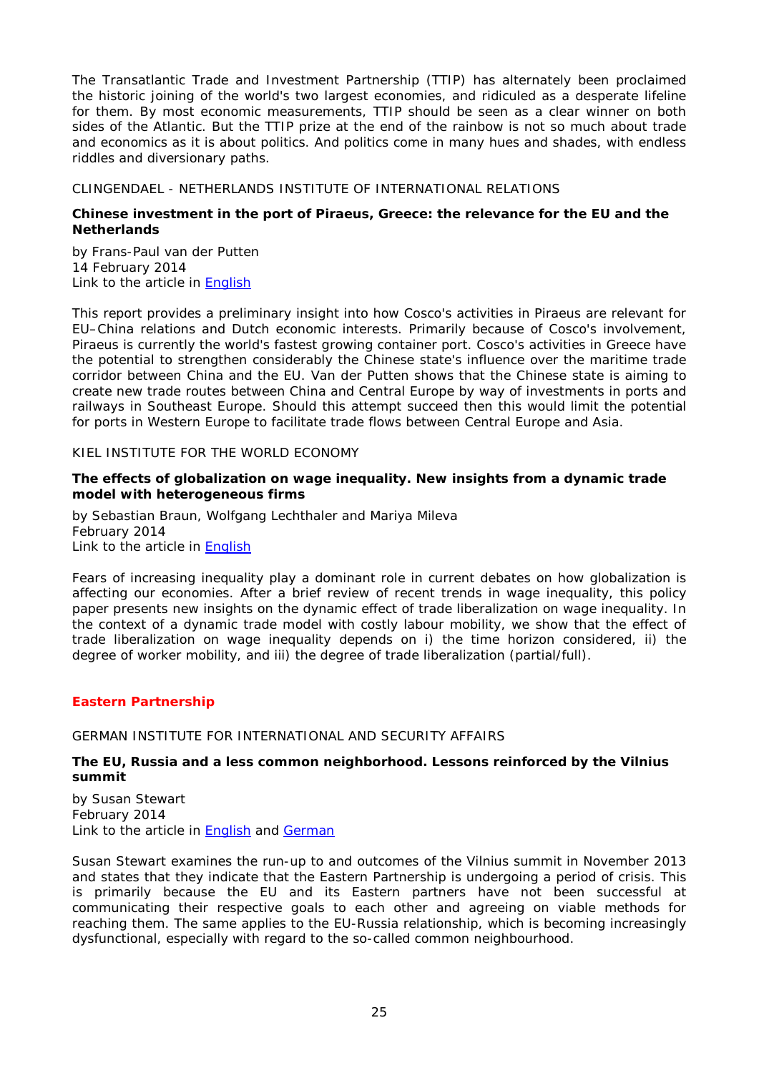The Transatlantic Trade and Investment Partnership (TTIP) has alternately been proclaimed the historic joining of the world's two largest economies, and ridiculed as a desperate lifeline for them. By most economic measurements, TTIP should be seen as a clear winner on both sides of the Atlantic. But the TTIP prize at the end of the rainbow is not so much about trade and economics as it is about politics. And politics come in many hues and shades, with endless riddles and diversionary paths.

## <span id="page-24-0"></span>CLINGENDAEL - NETHERLANDS INSTITUTE OF INTERNATIONAL RELATIONS

## <span id="page-24-1"></span>**Chinese investment in the port of Piraeus, Greece: the relevance for the EU and the Netherlands**

by Frans-Paul van der Putten 14 February 2014 Link to the article in [English](http://www.clingendael.nl/sites/default/files/2014%20-%20Chinese%20investment%20in%20Piraeus%20-%20Clingendael%20Report.pdf)

This report provides a preliminary insight into how Cosco's activities in Piraeus are relevant for EU–China relations and Dutch economic interests. Primarily because of Cosco's involvement, Piraeus is currently the world's fastest growing container port. Cosco's activities in Greece have the potential to strengthen considerably the Chinese state's influence over the maritime trade corridor between China and the EU. Van der Putten shows that the Chinese state is aiming to create new trade routes between China and Central Europe by way of investments in ports and railways in Southeast Europe. Should this attempt succeed then this would limit the potential for ports in Western Europe to facilitate trade flows between Central Europe and Asia.

## <span id="page-24-2"></span>KIEL INSTITUTE FOR THE WORLD ECONOMY

## <span id="page-24-3"></span>**The effects of globalization on wage inequality. New insights from a dynamic trade model with heterogeneous firms**

by Sebastian Braun, Wolfgang Lechthaler and Mariya Mileva February 2014 Link to the article in [English](http://www.ifw-kiel.de/wirtschaftspolitik/politikberatung/kiel-policy-brief/kpb-2014/KPB_70.pdf)

Fears of increasing inequality play a dominant role in current debates on how globalization is affecting our economies. After a brief review of recent trends in wage inequality, this policy paper presents new insights on the dynamic effect of trade liberalization on wage inequality. In the context of a dynamic trade model with costly labour mobility, we show that the effect of trade liberalization on wage inequality depends on i) the time horizon considered, ii) the degree of worker mobility, and iii) the degree of trade liberalization (partial/full).

## <span id="page-24-4"></span>*Eastern Partnership*

## <span id="page-24-5"></span>GERMAN INSTITUTE FOR INTERNATIONAL AND SECURITY AFFAIRS

## <span id="page-24-6"></span>**The EU, Russia and a less common neighborhood. Lessons reinforced by the Vilnius summit**

by Susan Stewart February 2014 Link to the article in [English](http://www.swp-berlin.org/fileadmin/contents/products/comments/2014C03_stw.pdf) and [German](http://www.swp-berlin.org/fileadmin/contents/products/aktuell/2014A06_stw.pdf)

Susan Stewart examines the run-up to and outcomes of the Vilnius summit in November 2013 and states that they indicate that the Eastern Partnership is undergoing a period of crisis. This is primarily because the EU and its Eastern partners have not been successful at communicating their respective goals to each other and agreeing on viable methods for reaching them. The same applies to the EU-Russia relationship, which is becoming increasingly dysfunctional, especially with regard to the so-called common neighbourhood.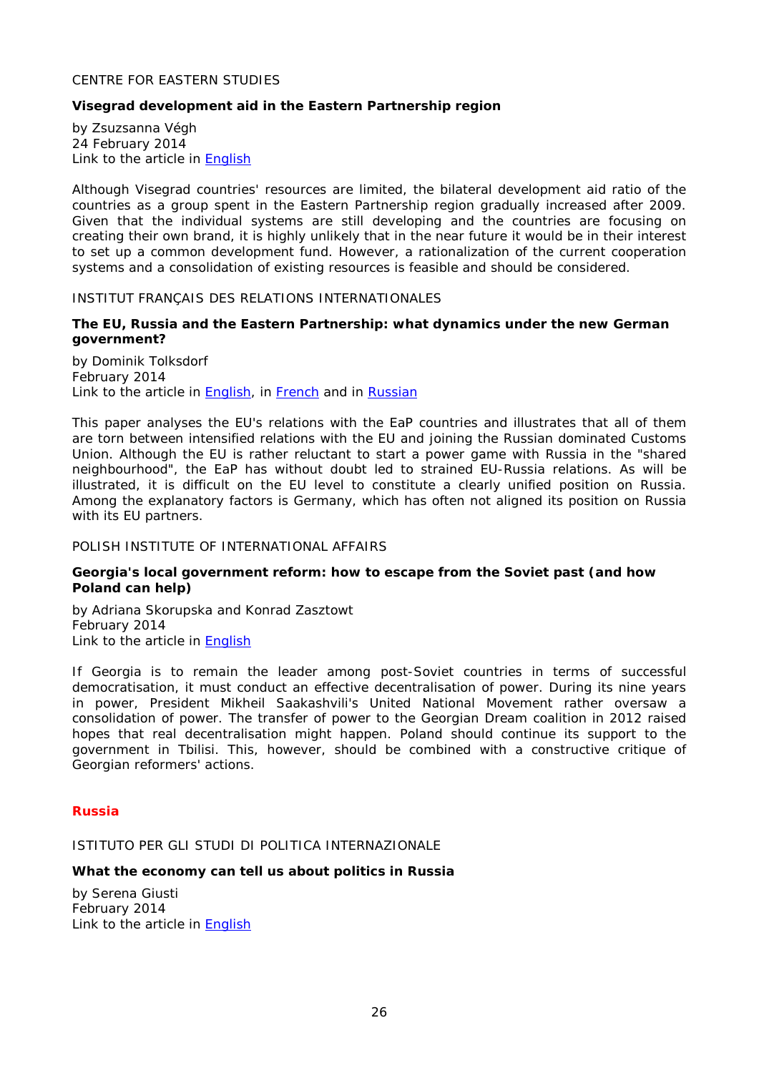## <span id="page-25-0"></span>CENTRE FOR EASTERN STUDIES

## <span id="page-25-1"></span>**Visegrad development aid in the Eastern Partnership region**

by Zsuzsanna Végh 24 February 2014 Link to the article in [English](http://www.osw.waw.pl/sites/default/files/visegrad_development_aid.pdf_-_adobe_acrobat_pro.pdf)

Although Visegrad countries' resources are limited, the bilateral development aid ratio of the countries as a group spent in the Eastern Partnership region gradually increased after 2009. Given that the individual systems are still developing and the countries are focusing on creating their own brand, it is highly unlikely that in the near future it would be in their interest to set up a common development fund. However, a rationalization of the current cooperation systems and a consolidation of existing resources is feasible and should be considered.

<span id="page-25-2"></span>INSTITUT FRANÇAIS DES RELATIONS INTERNATIONALES

## <span id="page-25-3"></span>**The EU, Russia and the Eastern Partnership: what dynamics under the new German government?**

by Dominik Tolksdorf February 2014 Link to the article in [English,](http://www.ifri.org/downloads/ndc109tolksdorfeng.pdf) in [French](http://www.ifri.org/downloads/noteducerfa109dtolksdorf.pdf) and in [Russian](http://www.ifri.org/downloads/ndc109tolksdorfrus.pdf)

This paper analyses the EU's relations with the EaP countries and illustrates that all of them are torn between intensified relations with the EU and joining the Russian dominated Customs Union. Although the EU is rather reluctant to start a power game with Russia in the "shared neighbourhood", the EaP has without doubt led to strained EU-Russia relations. As will be illustrated, it is difficult on the EU level to constitute a clearly unified position on Russia. Among the explanatory factors is Germany, which has often not aligned its position on Russia with its EU partners.

#### <span id="page-25-4"></span>POLISH INSTITUTE OF INTERNATIONAL AFFAIRS

#### <span id="page-25-5"></span>**Georgia's local government reform: how to escape from the Soviet past (and how Poland can help)**

by [Adriana Skorupska](http://www.pism.pl/Experts/Adriana-Skorupska) and [Konrad Zasztowt](http://www.pism.pl/Experts/Konrad-Zasztowt) February 2014 Link to the article in [English](http://www.pism.pl/files/?id_plik=16394)

If Georgia is to remain the leader among post-Soviet countries in terms of successful democratisation, it must conduct an effective decentralisation of power. During its nine years in power, President Mikheil Saakashvili's United National Movement rather oversaw a consolidation of power. The transfer of power to the Georgian Dream coalition in 2012 raised hopes that real decentralisation might happen. Poland should continue its support to the government in Tbilisi. This, however, should be combined with a constructive critique of Georgian reformers' actions.

#### <span id="page-25-6"></span>*Russia*

<span id="page-25-7"></span>ISTITUTO PER GLI STUDI DI POLITICA INTERNAZIONALE

#### <span id="page-25-8"></span>**What the economy can tell us about politics in Russia**

by Serena Giusti February 2014 Link to the article in **English**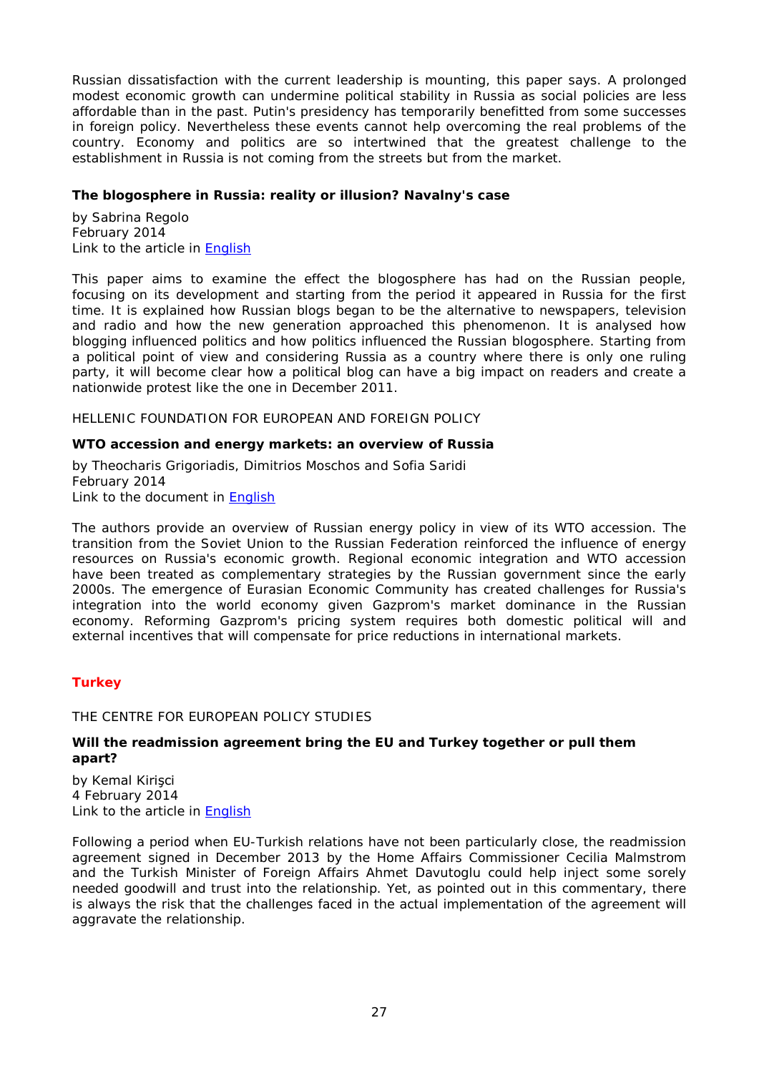Russian dissatisfaction with the current leadership is mounting, this paper says. A prolonged modest economic growth can undermine political stability in Russia as social policies are less affordable than in the past. Putin's presidency has temporarily benefitted from some successes in foreign policy. Nevertheless these events cannot help overcoming the real problems of the country. Economy and politics are so intertwined that the greatest challenge to the establishment in Russia is not coming from the streets but from the market.

## <span id="page-26-0"></span>**The blogosphere in Russia: reality or illusion? Navalny's case**

by Sabrina Regolo February 2014 Link to the article in [English](http://www.ispionline.it/sites/default/files/pubblicazioni/analysis_232_2013_0.pdf)

This paper aims to examine the effect the blogosphere has had on the Russian people, focusing on its development and starting from the period it appeared in Russia for the first time. It is explained how Russian blogs began to be the alternative to newspapers, television and radio and how the new generation approached this phenomenon. It is analysed how blogging influenced politics and how politics influenced the Russian blogosphere. Starting from a political point of view and considering Russia as a country where there is only one ruling party, it will become clear how a political blog can have a big impact on readers and create a nationwide protest like the one in December 2011.

<span id="page-26-1"></span>HELLENIC FOUNDATION FOR EUROPEAN AND FOREIGN POLICY

## <span id="page-26-2"></span>**WTO accession and energy markets: an overview of Russia**

by Theocharis Grigoriadis, Dimitrios Moschos and Sofia Saridi February 2014 Link to the document in [English](http://www.eliamep.gr/wp-content/uploads/2014/02/Theocharis-Grigoriadis_final.pdf)

The authors provide an overview of Russian energy policy in view of its WTO accession. The transition from the Soviet Union to the Russian Federation reinforced the influence of energy resources on Russia's economic growth. Regional economic integration and WTO accession have been treated as complementary strategies by the Russian government since the early 2000s. The emergence of Eurasian Economic Community has created challenges for Russia's integration into the world economy given Gazprom's market dominance in the Russian economy. Reforming Gazprom's pricing system requires both domestic political will and external incentives that will compensate for price reductions in international markets.

## <span id="page-26-3"></span>*Turkey*

## <span id="page-26-4"></span>THE CENTRE FOR EUROPEAN POLICY STUDIES

## <span id="page-26-5"></span>**Will the readmission agreement bring the EU and Turkey together or pull them apart?**

by Kemal Kirişci 4 February 2014 Link to the article in [English](http://www.ceps.be/ceps/dld/8885/pdf)

Following a period when EU-Turkish relations have not been particularly close, the readmission agreement signed in December 2013 by the Home Affairs Commissioner Cecilia Malmstrom and the Turkish Minister of Foreign Affairs Ahmet Davutoglu could help inject some sorely needed goodwill and trust into the relationship. Yet, as pointed out in this commentary, there is always the risk that the challenges faced in the actual implementation of the agreement will aggravate the relationship.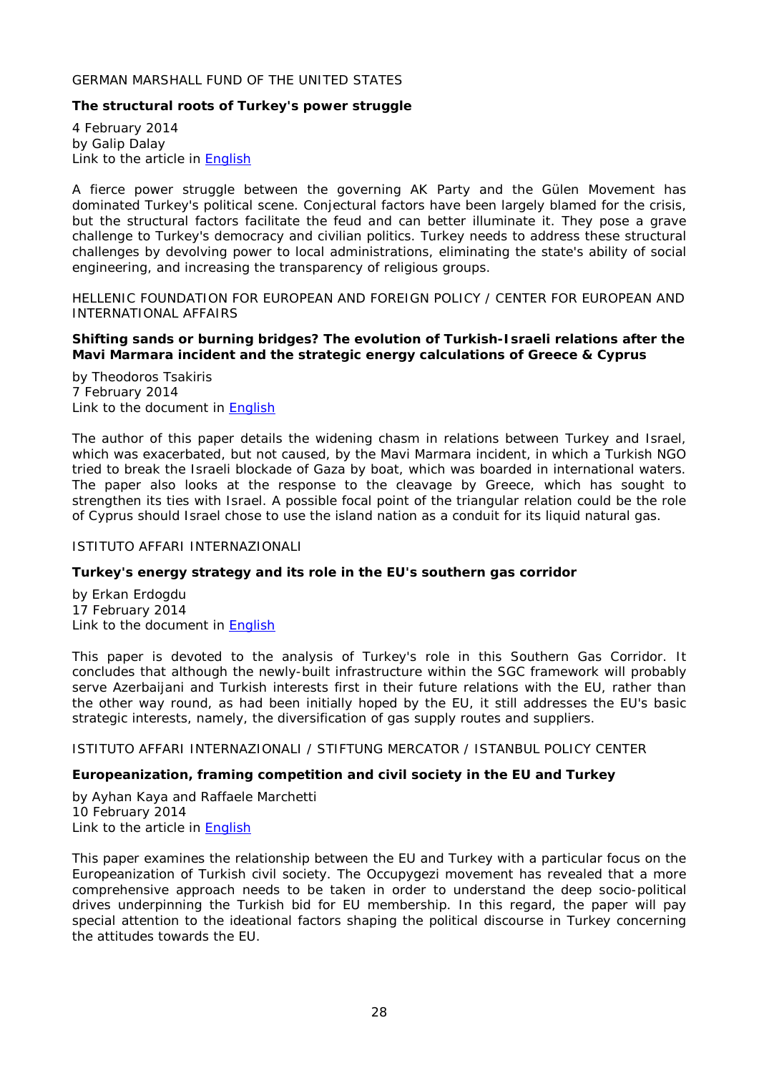## <span id="page-27-0"></span>GERMAN MARSHALL FUND OF THE UNITED STATES

## <span id="page-27-1"></span>**The structural roots of Turkey's power struggle**

4 February 2014 by Galip Dalay Link to the article in [English](http://www.gmfus.org/wp-content/blogs.dir/1/files_mf/1391545210Dalay_StructuralRoots_Jan14.pdf)

A fierce power struggle between the governing AK Party and the Gülen Movement has dominated Turkey's political scene. Conjectural factors have been largely blamed for the crisis, but the structural factors facilitate the feud and can better illuminate it. They pose a grave challenge to Turkey's democracy and civilian politics. Turkey needs to address these structural challenges by devolving power to local administrations, eliminating the state's ability of social engineering, and increasing the transparency of religious groups.

<span id="page-27-2"></span>HELLENIC FOUNDATION FOR EUROPEAN AND FOREIGN POLICY / CENTER FOR EUROPEAN AND INTERNATIONAL AFFAIRS

## <span id="page-27-3"></span>**Shifting sands or burning bridges? The evolution of Turkish-Israeli relations after the Mavi Marmara incident and the strategic energy calculations of Greece & Cyprus**

by Theodoros Tsakiris 7 February 2014 Link to the document in [English](http://www.eliamep.gr/wp-content/uploads/2014/02/policy-paper.pdf)

The author of this paper details the widening chasm in relations between Turkey and Israel, which was exacerbated, but not caused, by the Mavi Marmara incident, in which a Turkish NGO tried to break the Israeli blockade of Gaza by boat, which was boarded in international waters. The paper also looks at the response to the cleavage by Greece, which has sought to strengthen its ties with Israel. A possible focal point of the triangular relation could be the role of Cyprus should Israel chose to use the island nation as a conduit for its liquid natural gas.

## <span id="page-27-4"></span>ISTITUTO AFFARI INTERNAZIONALI

## <span id="page-27-5"></span>**Turkey's energy strategy and its role in the EU's southern gas corridor**

by Erkan Erdogdu 17 February 2014 Link to the document in [English](http://www.iai.it/pdf/DocIAI/iaiwp1401.pdf)

This paper is devoted to the analysis of Turkey's role in this Southern Gas Corridor. It concludes that although the newly-built infrastructure within the SGC framework will probably serve Azerbaijani and Turkish interests first in their future relations with the EU, rather than the other way round, as had been initially hoped by the EU, it still addresses the EU's basic strategic interests, namely, the diversification of gas supply routes and suppliers.

<span id="page-27-6"></span>ISTITUTO AFFARI INTERNAZIONALI / STIFTUNG MERCATOR / ISTANBUL POLICY CENTER

## <span id="page-27-7"></span>**Europeanization, framing competition and civil society in the EU and Turkey**

by Ayhan Kaya and Raffaele Marchetti 10 February 2014 Link to the article in **English** 

This paper examines the relationship between the EU and Turkey with a particular focus on the Europeanization of Turkish civil society. The *Occupygezi* movement has revealed that a more comprehensive approach needs to be taken in order to understand the deep socio-political drives underpinning the Turkish bid for EU membership. In this regard, the paper will pay special attention to the ideational factors shaping the political discourse in Turkey concerning the attitudes towards the EU.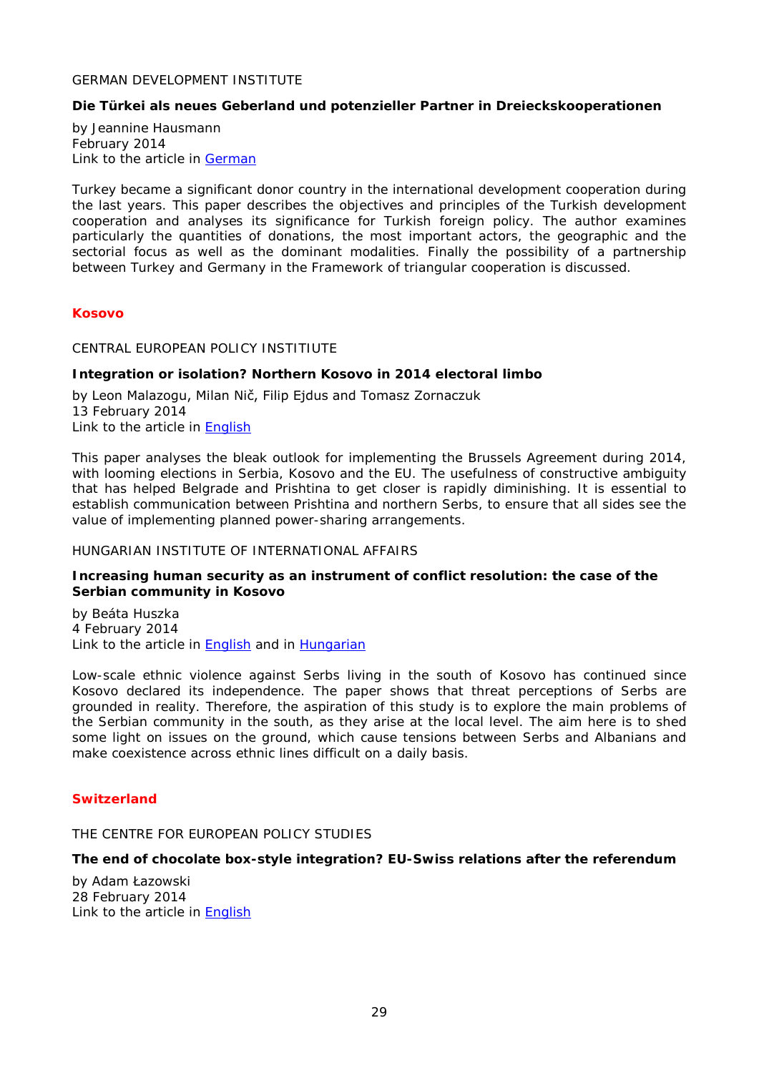## <span id="page-28-0"></span>GERMAN DEVELOPMENT INSTITUTE

## <span id="page-28-1"></span>**Die Türkei als neues Geberland und potenzieller Partner in Dreieckskooperationen**

by Jeannine Hausmann February 2014 Link to the article in [German](http://www.die-gdi.de/uploads/media/DP_1_2014.pdf)

Turkey became a significant donor country in the international development cooperation during the last years. This paper describes the objectives and principles of the Turkish development cooperation and analyses its significance for Turkish foreign policy. The author examines particularly the quantities of donations, the most important actors, the geographic and the sectorial focus as well as the dominant modalities. Finally the possibility of a partnership between Turkey and Germany in the Framework of triangular cooperation is discussed.

#### <span id="page-28-2"></span>*Kosovo*

<span id="page-28-3"></span>CENTRAL EUROPEAN POLICY INSTITIUTE

## <span id="page-28-4"></span>**Integration or isolation? Northern Kosovo in 2014 electoral limbo**

by Leon Malazogu, Milan Nič, Filip Ejdus and Tomasz Zornaczuk 13 February 2014 Link to the article in [English](http://www.cepolicy.org/sites/cepolicy.org/files/attachments/cepi_-_integration_or_isolation.pdf)

This paper analyses the bleak outlook for implementing the Brussels Agreement during 2014, with looming elections in Serbia, Kosovo and the EU. The usefulness of constructive ambiguity that has helped Belgrade and Prishtina to get closer is rapidly diminishing. It is essential to establish communication between Prishtina and northern Serbs, to ensure that all sides see the value of implementing planned power-sharing arrangements.

## <span id="page-28-5"></span>HUNGARIAN INSTITUTE OF INTERNATIONAL AFFAIRS

#### <span id="page-28-6"></span>**Increasing human security as an instrument of conflict resolution: the case of the Serbian community in Kosovo**

by Beáta Huszka 4 February 2014 Link to the article in [English](http://www.kulugyiintezet.hu/pub/displ_eng.asp?id=HHCTBZ) and in [Hungarian](http://www.kulugyiintezet.hu/pub/displ.asp?id=HHCTBZ)

Low-scale ethnic violence against Serbs living in the south of Kosovo has continued since Kosovo declared its independence. The paper shows that threat perceptions of Serbs are grounded in reality. Therefore, the aspiration of this study is to explore the main problems of the Serbian community in the south, as they arise at the local level. The aim here is to shed some light on issues on the ground, which cause tensions between Serbs and Albanians and make coexistence across ethnic lines difficult on a daily basis.

## <span id="page-28-7"></span>*Switzerland*

<span id="page-28-8"></span>THE CENTRE FOR EUROPEAN POLICY STUDIES

## <span id="page-28-9"></span>**The end of chocolate box-style integration? EU-Swiss relations after the referendum**

by Adam Łazowski 28 February 2014 Link to the article in [English](http://www.ceps.be/ceps/dld/8966/pdf)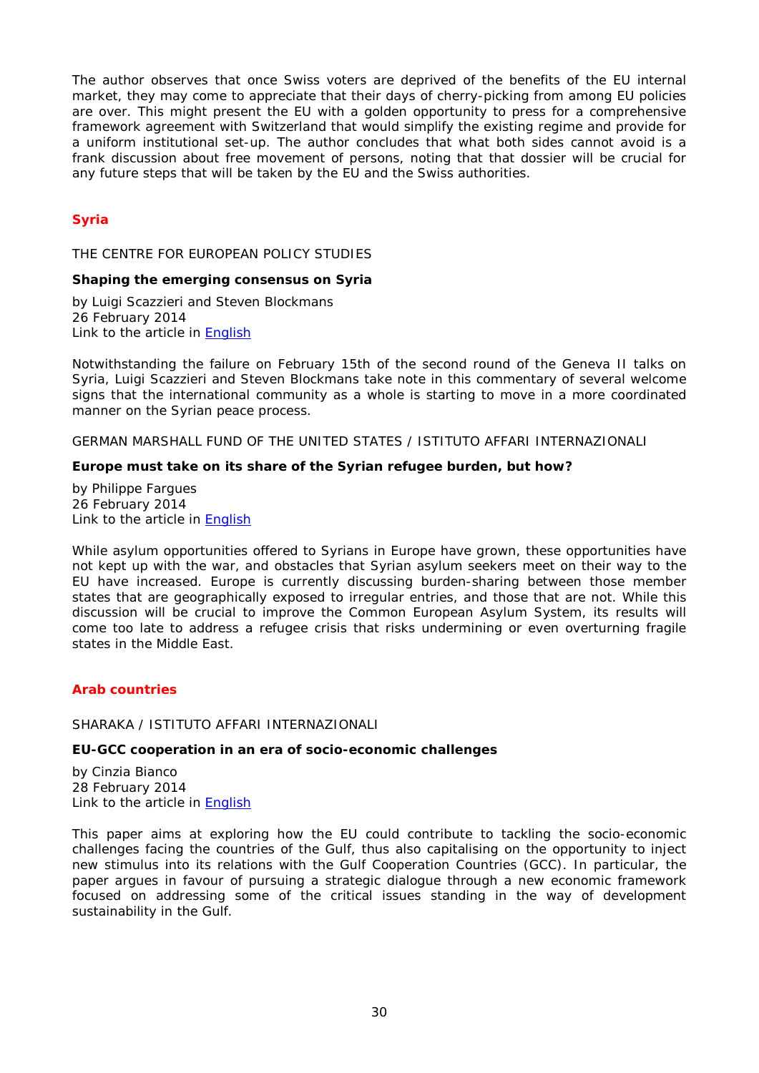The author observes that once Swiss voters are deprived of the benefits of the EU internal market, they may come to appreciate that their days of cherry-picking from among EU policies are over. This might present the EU with a golden opportunity to press for a comprehensive framework agreement with Switzerland that would simplify the existing regime and provide for a uniform institutional set-up. The author concludes that what both sides cannot avoid is a frank discussion about free movement of persons, noting that that dossier will be crucial for any future steps that will be taken by the EU and the Swiss authorities.

## <span id="page-29-0"></span>*Syria*

<span id="page-29-1"></span>THE CENTRE FOR EUROPEAN POLICY STUDIES

#### <span id="page-29-2"></span>**Shaping the emerging consensus on Syria**

by Luigi Scazzieri and Steven Blockmans 26 February 2014 Link to the article in [English](http://www.ceps.be/ceps/dld/8964/pdf)

Notwithstanding the failure on February 15th of the second round of the Geneva II talks on Syria, Luigi Scazzieri and Steven Blockmans take note in this commentary of several welcome signs that the international community as a whole is starting to move in a more coordinated manner on the Syrian peace process.

<span id="page-29-3"></span>GERMAN MARSHALL FUND OF THE UNITED STATES / ISTITUTO AFFARI INTERNAZIONALI

## <span id="page-29-4"></span>**Europe must take on its share of the Syrian refugee burden, but how?**

by Philippe Fargues 26 February 2014 Link to the article in [English](http://www.gmfus.org/wp-content/blogs.dir/1/files_mf/1393431128Fargues_SyrianRefugees_Feb14.pdf)

While asylum opportunities offered to Syrians in Europe have grown, these opportunities have not kept up with the war, and obstacles that Syrian asylum seekers meet on their way to the EU have increased. Europe is currently discussing burden-sharing between those member states that are geographically exposed to irregular entries, and those that are not. While this discussion will be crucial to improve the Common European Asylum System, its results will come too late to address a refugee crisis that risks undermining or even overturning fragile states in the Middle East.

## <span id="page-29-5"></span>*Arab countries*

## <span id="page-29-6"></span>SHARAKA / ISTITUTO AFFARI INTERNAZIONALI

#### <span id="page-29-7"></span>**EU-GCC cooperation in an era of socio-economic challenges**

by Cinzia Bianco 28 February 2014 Link to the article in [English](http://www.iai.it/pdf/Sharaka/Sharaka_RP_08.pdf)

This paper aims at exploring how the EU could contribute to tackling the socio-economic challenges facing the countries of the Gulf, thus also capitalising on the opportunity to inject new stimulus into its relations with the Gulf Cooperation Countries (GCC). In particular, the paper argues in favour of pursuing a strategic dialogue through a new economic framework focused on addressing some of the critical issues standing in the way of development sustainability in the Gulf.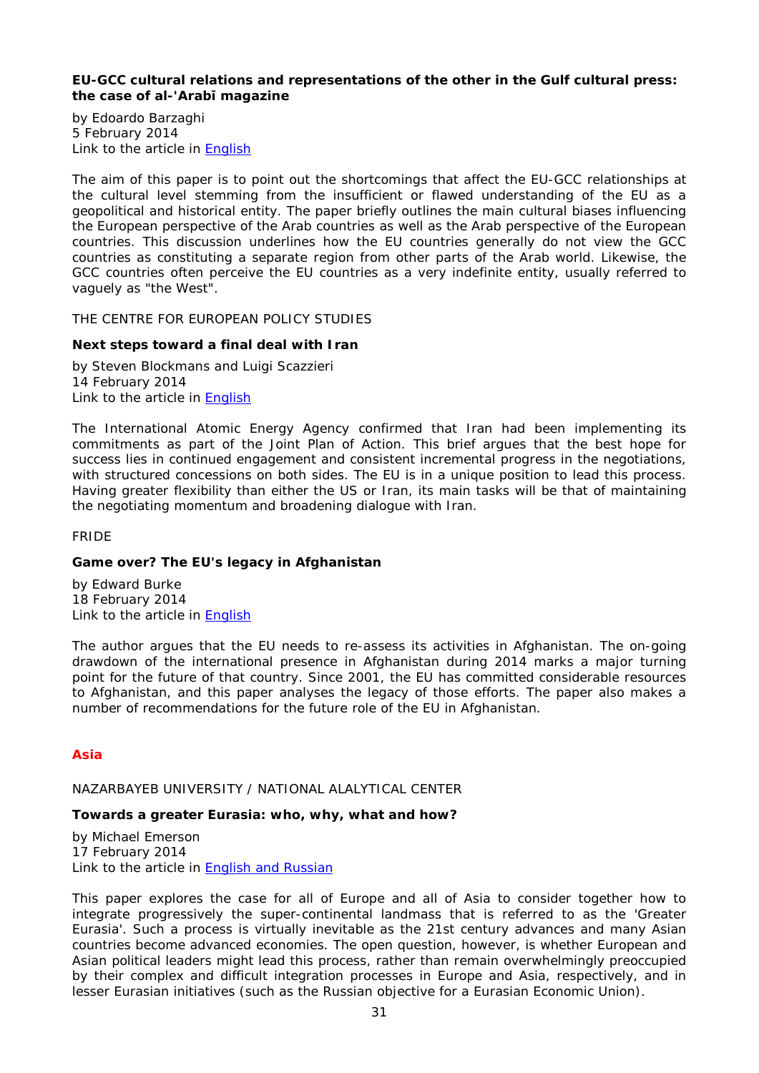## <span id="page-30-0"></span>**EU-GCC cultural relations and representations of the other in the Gulf cultural press: the case of al-'Arabī magazine**

by Edoardo Barzaghi 5 February 2014 Link to the article in [English](http://www.iai.it/pdf/Sharaka/Sharaka_RP_07.pdf)

The aim of this paper is to point out the shortcomings that affect the EU-GCC relationships at the cultural level stemming from the insufficient or flawed understanding of the EU as a geopolitical and historical entity. The paper briefly outlines the main cultural biases influencing the European perspective of the Arab countries as well as the Arab perspective of the European countries. This discussion underlines how the EU countries generally do not view the GCC countries as constituting a separate region from other parts of the Arab world. Likewise, the GCC countries often perceive the EU countries as a very indefinite entity, usually referred to vaguely as "the West".

<span id="page-30-1"></span>THE CENTRE FOR EUROPEAN POLICY STUDIES

## <span id="page-30-2"></span>**Next steps toward a final deal with Iran**

by Steven Blockmans and Luigi Scazzieri 14 February 2014 Link to the article in [English](http://www.ceps.be/ceps/dld/8924/pdf)

The International Atomic Energy Agency confirmed that Iran had been implementing its commitments as part of the Joint Plan of Action. This brief argues that the best hope for success lies in continued engagement and consistent incremental progress in the negotiations, with structured concessions on both sides. The EU is in a unique position to lead this process. Having greater flexibility than either the US or Iran, its main tasks will be that of maintaining the negotiating momentum and broadening dialogue with Iran.

## <span id="page-30-3"></span>FRIDE

## <span id="page-30-4"></span>**Game over? The EU's legacy in Afghanistan**

by Edward Burke 18 February 2014 Link to the article in [English](http://www.fride.org/download/WP_122_The_EU_legacy_in_Afghanistan.pdf)

The author argues that the EU needs to re-assess its activities in Afghanistan. The on-going drawdown of the international presence in Afghanistan during 2014 marks a major turning point for the future of that country. Since 2001, the EU has committed considerable resources to Afghanistan, and this paper analyses the legacy of those efforts. The paper also makes a number of recommendations for the future role of the EU in Afghanistan.

## <span id="page-30-5"></span>*Asia*

## <span id="page-30-6"></span>NAZARBAYEB UNIVERSITY / NATIONAL ALALYTICAL CENTER

## <span id="page-30-7"></span>**Towards a greater Eurasia: who, why, what and how?**

by Michael Emerson 17 February 2014 Link to the article in **English and Russian** 

This paper explores the case for all of Europe and all of Asia to consider together how to integrate progressively the super-continental landmass that is referred to as the 'Greater Eurasia'. Such a process is virtually inevitable as the 21st century advances and many Asian countries become advanced economies. The open question, however, is whether European and Asian political leaders might lead this process, rather than remain overwhelmingly preoccupied by their complex and difficult integration processes in Europe and Asia, respectively, and in lesser Eurasian initiatives (such as the Russian objective for a Eurasian Economic Union).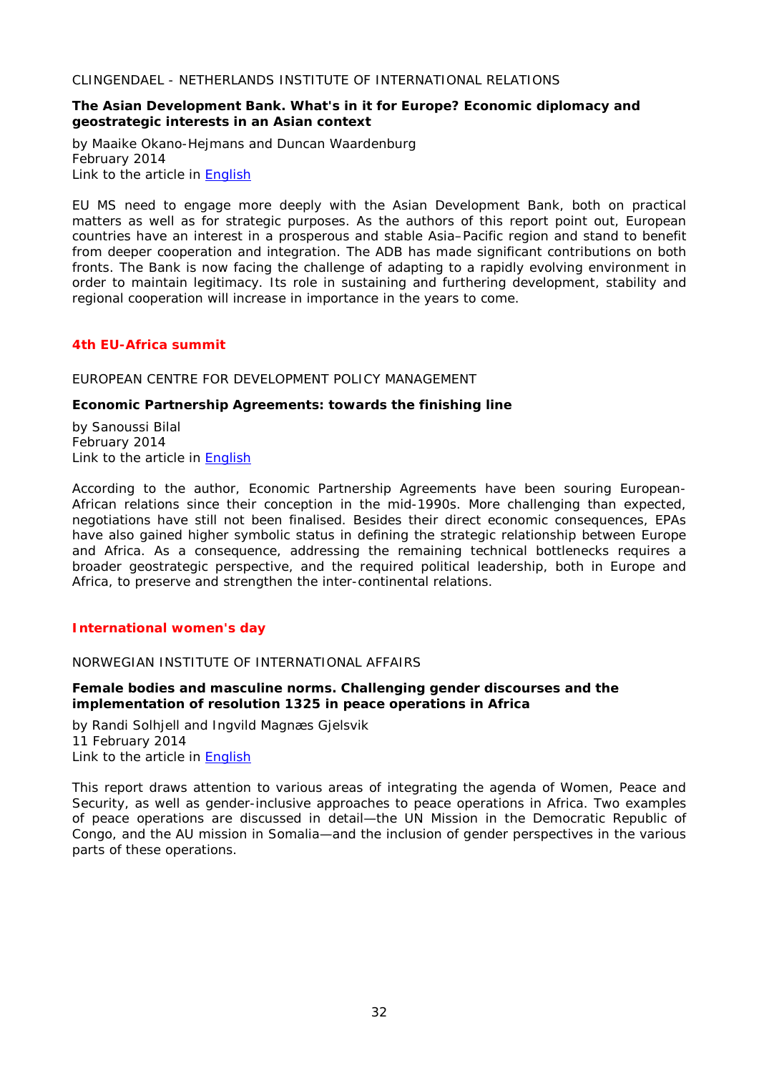<span id="page-31-0"></span>CLINGENDAEL - NETHERLANDS INSTITUTE OF INTERNATIONAL RELATIONS

## <span id="page-31-1"></span>**The Asian Development Bank. What's in it for Europe? Economic diplomacy and geostrategic interests in an Asian context**

by Maaike Okano-Hejmans and Duncan Waardenburg February 2014 Link to the article in [English](http://www.clingendael.nl/sites/default/files/The%20ADB-What%20is%20in%20it%20for%20Europe%20-%20Clingendael%20Report%20%28Feb%202014%29.pdf)

EU MS need to engage more deeply with the Asian Development Bank, both on practical matters as well as for strategic purposes. As the authors of this report point out, European countries have an interest in a prosperous and stable Asia–Pacific region and stand to benefit from deeper cooperation and integration. The ADB has made significant contributions on both fronts. The Bank is now facing the challenge of adapting to a rapidly evolving environment in order to maintain legitimacy. Its role in sustaining and furthering development, stability and regional cooperation will increase in importance in the years to come.

## <span id="page-31-2"></span>*4th EU-Africa summit*

<span id="page-31-3"></span>EUROPEAN CENTRE FOR DEVELOPMENT POLICY MANAGEMENT

## <span id="page-31-4"></span>**Economic Partnership Agreements: towards the finishing line**

by Sanoussi Bilal February 2014 Link to the article in [English](http://www.ecdpm.org/Web_ECDPM/Web/Content/Download.nsf/0/1FA9752BD7D9F86AC1257C8C0051F641/$FILE/BN64_EPAs-towards%20the%20finishing%20line.pdf)

According to the author, Economic Partnership Agreements have been souring European-African relations since their conception in the mid-1990s. More challenging than expected, negotiations have still not been finalised. Besides their direct economic consequences, EPAs have also gained higher symbolic status in defining the strategic relationship between Europe and Africa. As a consequence, addressing the remaining technical bottlenecks requires a broader geostrategic perspective, and the required political leadership, both in Europe and Africa, to preserve and strengthen the inter-continental relations.

## <span id="page-31-5"></span>*International women's day*

## <span id="page-31-6"></span>NORWEGIAN INSTITUTE OF INTERNATIONAL AFFAIRS

## <span id="page-31-7"></span>**Female bodies and masculine norms. Challenging gender discourses and the implementation of resolution 1325 in peace operations in Africa**

by Randi Solhjell and Ingvild Magnæs Gjelsvik 11 February 2014 Link to the article in [English](http://english.nupi.no/content/download/494429/1643014/version/1/file/NUPI+Report-2-14-Solhjell-Gjelsvik.pdf)

This report draws attention to various areas of integrating the agenda of Women, Peace and Security, as well as gender-inclusive approaches to peace operations in Africa. Two examples of peace operations are discussed in detail—the UN Mission in the Democratic Republic of Congo, and the AU mission in Somalia—and the inclusion of gender perspectives in the various parts of these operations.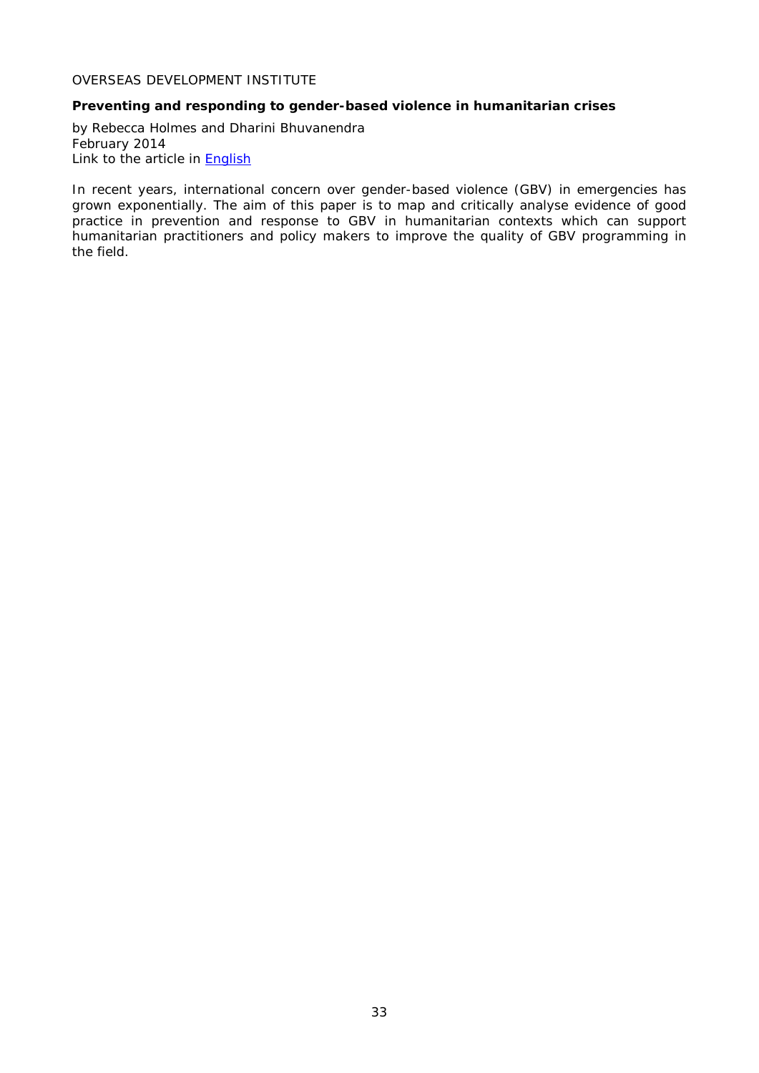## <span id="page-32-0"></span>OVERSEAS DEVELOPMENT INSTITUTE

## <span id="page-32-1"></span>**Preventing and responding to gender-based violence in humanitarian crises**

by Rebecca Holmes and Dharini Bhuvanendra February 2014 Link to the article in **English** 

In recent years, international concern over gender-based violence (GBV) in emergencies has grown exponentially. The aim of this paper is to map and critically analyse evidence of good practice in prevention and response to GBV in humanitarian contexts which can support humanitarian practitioners and policy makers to improve the quality of GBV programming in the field.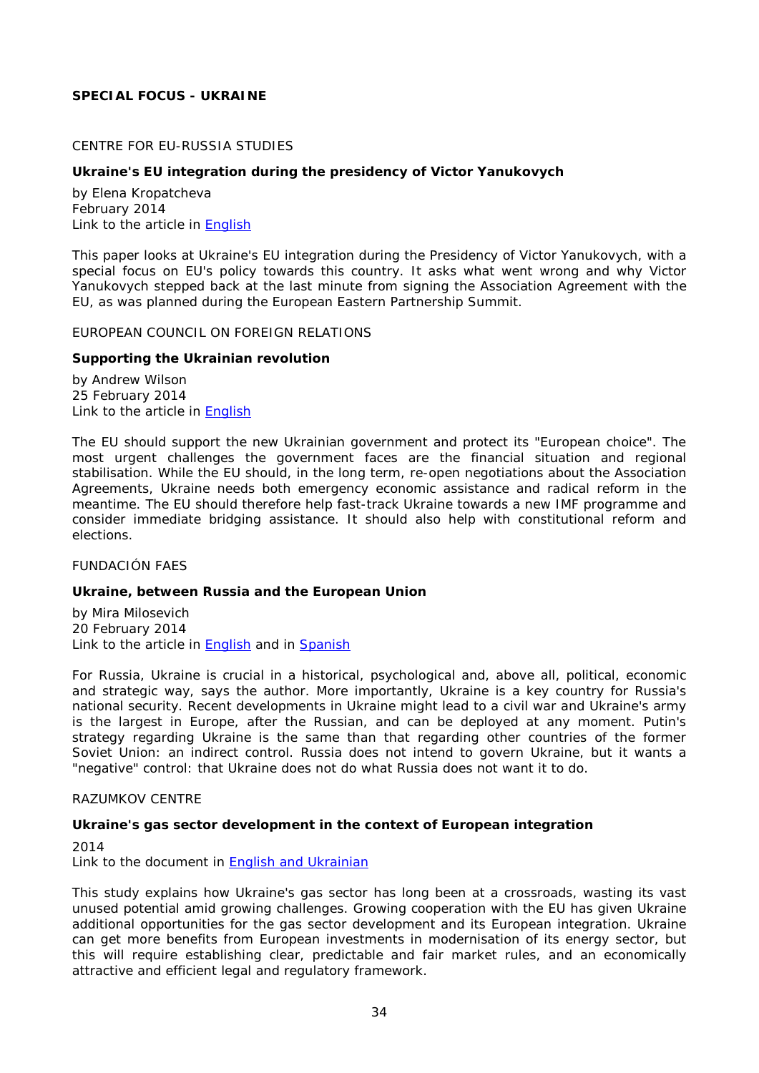## <span id="page-33-0"></span>**SPECIAL FOCUS - UKRAINE**

## <span id="page-33-1"></span>CENTRE FOR EU-RUSSIA STUDIES

## <span id="page-33-2"></span>**Ukraine's EU integration during the presidency of Victor Yanukovych**

by Elena Kropatcheva February 2014 Link to the article in **English** 

This paper looks at Ukraine's EU integration during the Presidency of Victor Yanukovych, with a special focus on EU's policy towards this country. It asks what went wrong and why Victor Yanukovych stepped back at the last minute from signing the Association Agreement with the EU, as was planned during the European Eastern Partnership Summit.

<span id="page-33-3"></span>EUROPEAN COUNCIL ON FOREIGN RELATIONS

#### <span id="page-33-4"></span>**Supporting the Ukrainian revolution**

by Andrew Wilson 25 February 2014 Link to the article in [English](http://ecfr.eu/page/-/ECFR96_UKRAINE_MEMO.pdf)

The EU should support the new Ukrainian government and protect its "European choice". The most urgent challenges the government faces are the financial situation and regional stabilisation. While the EU should, in the long term, re-open negotiations about the Association Agreements, Ukraine needs both emergency economic assistance and radical reform in the meantime. The EU should therefore help fast-track Ukraine towards a new IMF programme and consider immediate bridging assistance. It should also help with constitutional reform and elections.

#### <span id="page-33-5"></span>FUNDACIÓN FAES

#### <span id="page-33-6"></span>**Ukraine, between Russia and the European Union**

by Mira Milosevich 20 February 2014 Link to the article in [English](http://www.fundacionfaes.org/file_upload/publication/pdf/20140224125254ukranie-_between_russia_and_the_european_union.pdf) and in [Spanish](http://www.fundacionfaes.org/file_upload/publication/pdf/20140220141756ucrania-_entre_rusia_y_la_union_europea.pdf)

For Russia, Ukraine is crucial in a historical, psychological and, above all, political, economic and strategic way, says the author. More importantly, Ukraine is a key country for Russia's national security. Recent developments in Ukraine might lead to a civil war and Ukraine's army is the largest in Europe, after the Russian, and can be deployed at any moment. Putin's strategy regarding Ukraine is the same than that regarding other countries of the former Soviet Union: an indirect control. Russia does not intend to govern Ukraine, but it wants a "negative" control: that Ukraine does not do what Russia does not want it to do.

#### <span id="page-33-7"></span>RAZUMKOV CENTRE

#### <span id="page-33-8"></span>**Ukraine's gas sector development in the context of European integration**

2014 Link to the document in [English and Ukrainian](http://www.razumkov.org.ua/upload/1392734130_file.pdf)

This study explains how Ukraine's gas sector has long been at a crossroads, wasting its vast unused potential amid growing challenges. Growing cooperation with the EU has given Ukraine additional opportunities for the gas sector development and its European integration. Ukraine can get more benefits from European investments in modernisation of its energy sector, but this will require establishing clear, predictable and fair market rules, and an economically attractive and efficient legal and regulatory framework.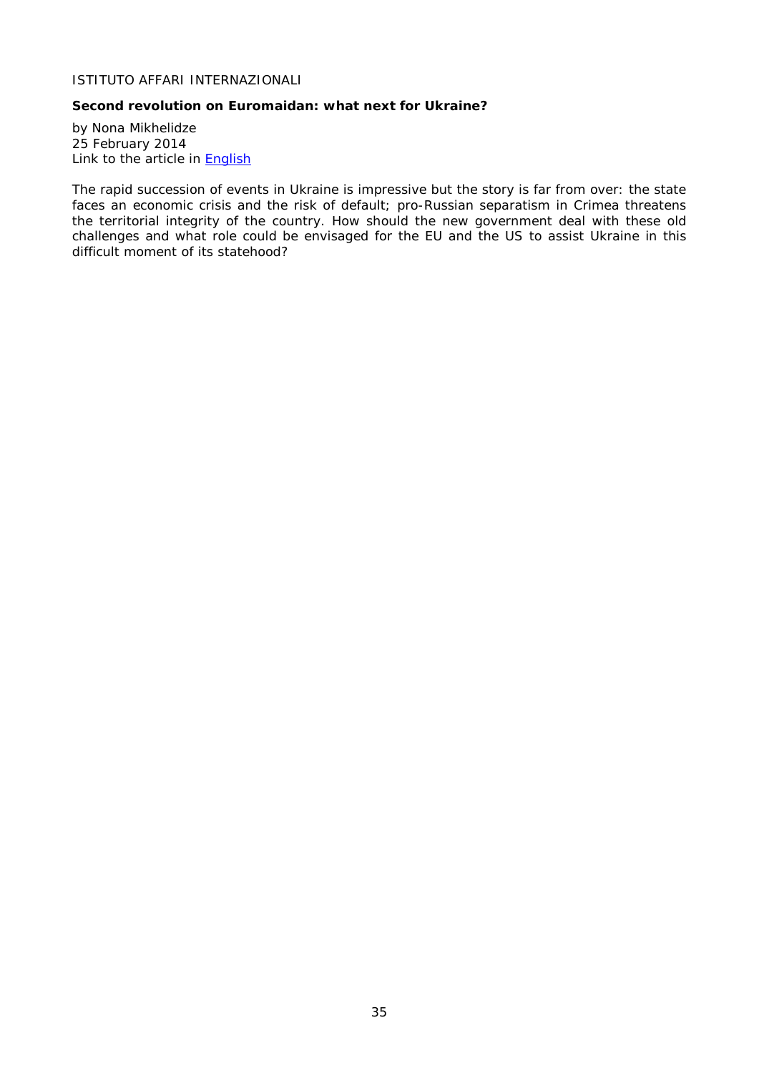## <span id="page-34-0"></span>ISTITUTO AFFARI INTERNAZIONALI

## <span id="page-34-1"></span>**Second revolution on Euromaidan: what next for Ukraine?**

by Nona Mikhelidze 25 February 2014 Link to the article in **English** 

The rapid succession of events in Ukraine is impressive but the story is far from over: the state faces an economic crisis and the risk of default; pro-Russian separatism in Crimea threatens the territorial integrity of the country. How should the new government deal with these old challenges and what role could be envisaged for the EU and the US to assist Ukraine in this difficult moment of its statehood?